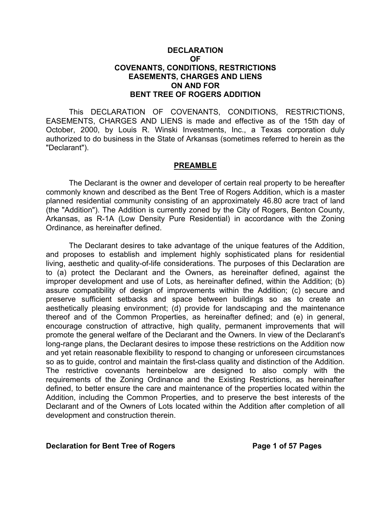## **DECLARATION OF COVENANTS, CONDITIONS, RESTRICTIONS EASEMENTS, CHARGES AND LIENS ON AND FOR BENT TREE OF ROGERS ADDITION**

This DECLARATION OF COVENANTS, CONDITIONS, RESTRICTIONS, EASEMENTS, CHARGES AND LIENS is made and effective as of the 15th day of October, 2000, by Louis R. Winski Investments, Inc., a Texas corporation duly authorized to do business in the State of Arkansas (sometimes referred to herein as the "Declarant").

#### **PREAMBLE**

The Declarant is the owner and developer of certain real property to be hereafter commonly known and described as the Bent Tree of Rogers Addition, which is a master planned residential community consisting of an approximately 46.80 acre tract of land (the "Addition"). The Addition is currently zoned by the City of Rogers, Benton County, Arkansas, as R-1A (Low Density Pure Residential) in accordance with the Zoning Ordinance, as hereinafter defined.

The Declarant desires to take advantage of the unique features of the Addition, and proposes to establish and implement highly sophisticated plans for residential living, aesthetic and quality-of-life considerations. The purposes of this Declaration are to (a) protect the Declarant and the Owners, as hereinafter defined, against the improper development and use of Lots, as hereinafter defined, within the Addition; (b) assure compatibility of design of improvements within the Addition; (c) secure and preserve sufficient setbacks and space between buildings so as to create an aesthetically pleasing environment; (d) provide for landscaping and the maintenance thereof and of the Common Properties, as hereinafter defined; and (e) in general, encourage construction of attractive, high quality, permanent improvements that will promote the general welfare of the Declarant and the Owners. In view of the Declarant's long-range plans, the Declarant desires to impose these restrictions on the Addition now and yet retain reasonable flexibility to respond to changing or unforeseen circumstances so as to guide, control and maintain the first-class quality and distinction of the Addition. The restrictive covenants hereinbelow are designed to also comply with the requirements of the Zoning Ordinance and the Existing Restrictions, as hereinafter defined, to better ensure the care and maintenance of the properties located within the Addition, including the Common Properties, and to preserve the best interests of the Declarant and of the Owners of Lots located within the Addition after completion of all development and construction therein.

#### **Declaration for Bent Tree of Rogers May be a set of 57 Pages**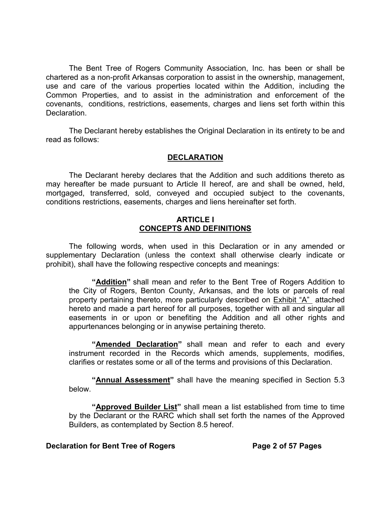The Bent Tree of Rogers Community Association, Inc. has been or shall be chartered as a non-profit Arkansas corporation to assist in the ownership, management, use and care of the various properties located within the Addition, including the Common Properties, and to assist in the administration and enforcement of the covenants, conditions, restrictions, easements, charges and liens set forth within this Declaration.

The Declarant hereby establishes the Original Declaration in its entirety to be and read as follows:

## **DECLARATION**

The Declarant hereby declares that the Addition and such additions thereto as may hereafter be made pursuant to Article II hereof, are and shall be owned, held, mortgaged, transferred, sold, conveyed and occupied subject to the covenants, conditions restrictions, easements, charges and liens hereinafter set forth.

#### **ARTICLE I CONCEPTS AND DEFINITIONS**

The following words, when used in this Declaration or in any amended or supplementary Declaration (unless the context shall otherwise clearly indicate or prohibit), shall have the following respective concepts and meanings:

**"Addition"** shall mean and refer to the Bent Tree of Rogers Addition to the City of Rogers, Benton County, Arkansas, and the lots or parcels of real property pertaining thereto, more particularly described on **Exhibit "A"** attached hereto and made a part hereof for all purposes, together with all and singular all easements in or upon or benefiting the Addition and all other rights and appurtenances belonging or in anywise pertaining thereto.

**"Amended Declaration"** shall mean and refer to each and every instrument recorded in the Records which amends, supplements, modifies, clarifies or restates some or all of the terms and provisions of this Declaration.

**"Annual Assessment"** shall have the meaning specified in Section 5.3 below.

 **"Approved Builder List"** shall mean a list established from time to time by the Declarant or the RARC which shall set forth the names of the Approved Builders, as contemplated by Section 8.5 hereof.

#### **Declaration for Bent Tree of Rogers Transform Page 2 of 57 Pages**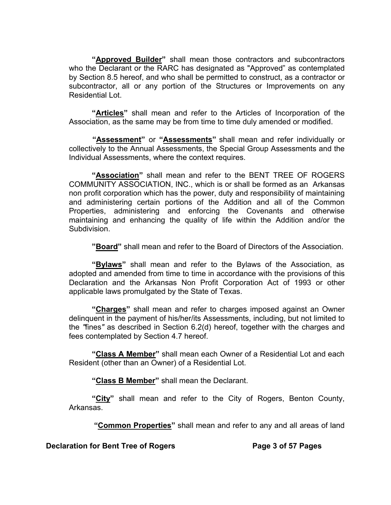**"Approved Builder"** shall mean those contractors and subcontractors who the Declarant or the RARC has designated as "Approved" as contemplated by Section 8.5 hereof, and who shall be permitted to construct, as a contractor or subcontractor, all or any portion of the Structures or Improvements on any Residential Lot.

**"Articles"** shall mean and refer to the Articles of Incorporation of the Association, as the same may be from time to time duly amended or modified.

 **"Assessment"** or **"Assessments"** shall mean and refer individually or collectively to the Annual Assessments, the Special Group Assessments and the Individual Assessments, where the context requires.

**"Association"** shall mean and refer to the BENT TREE OF ROGERS COMMUNITY ASSOCIATION, INC., which is or shall be formed as an Arkansas non profit corporation which has the power, duty and responsibility of maintaining and administering certain portions of the Addition and all of the Common Properties, administering and enforcing the Covenants and otherwise maintaining and enhancing the quality of life within the Addition and/or the Subdivision.

**"Board"** shall mean and refer to the Board of Directors of the Association.

**"Bylaws"** shall mean and refer to the Bylaws of the Association, as adopted and amended from time to time in accordance with the provisions of this Declaration and the Arkansas Non Profit Corporation Act of 1993 or other applicable laws promulgated by the State of Texas.

**"Charges"** shall mean and refer to charges imposed against an Owner delinquent in the payment of his/her/its Assessments, including, but not limited to the *"*fines*"* as described in Section 6.2(d) hereof, together with the charges and fees contemplated by Section 4.7 hereof.

**"Class A Member"** shall mean each Owner of a Residential Lot and each Resident (other than an Owner) of a Residential Lot.

**"Class B Member"** shall mean the Declarant.

**"City"** shall mean and refer to the City of Rogers, Benton County, Arkansas.

 **"Common Properties"** shall mean and refer to any and all areas of land

**Declaration for Bent Tree of Rogers The State Search Page 3 of 57 Pages**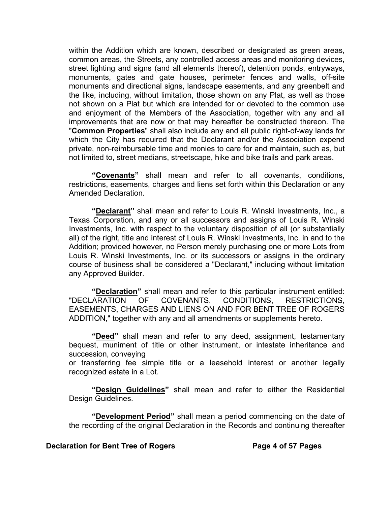within the Addition which are known, described or designated as green areas, common areas, the Streets, any controlled access areas and monitoring devices, street lighting and signs (and all elements thereof), detention ponds, entryways, monuments, gates and gate houses, perimeter fences and walls, off-site monuments and directional signs, landscape easements, and any greenbelt and the like, including, without limitation, those shown on any Plat, as well as those not shown on a Plat but which are intended for or devoted to the common use and enjoyment of the Members of the Association, together with any and all improvements that are now or that may hereafter be constructed thereon. The "**Common Properties**" shall also include any and all public right-of-way lands for which the City has required that the Declarant and/or the Association expend private, non-reimbursable time and monies to care for and maintain, such as, but not limited to, street medians, streetscape, hike and bike trails and park areas.

**"Covenants"** shall mean and refer to all covenants, conditions, restrictions, easements, charges and liens set forth within this Declaration or any Amended Declaration.

**"Declarant"** shall mean and refer to Louis R. Winski Investments, Inc., a Texas Corporation, and any or all successors and assigns of Louis R. Winski Investments, Inc. with respect to the voluntary disposition of all (or substantially all) of the right, title and interest of Louis R. Winski Investments, Inc. in and to the Addition; provided however, no Person merely purchasing one or more Lots from Louis R. Winski Investments, Inc. or its successors or assigns in the ordinary course of business shall be considered a "Declarant," including without limitation any Approved Builder.

 **"Declaration"** shall mean and refer to this particular instrument entitled: "DECLARATION OF COVENANTS, CONDITIONS, RESTRICTIONS, EASEMENTS, CHARGES AND LIENS ON AND FOR BENT TREE OF ROGERS ADDITION," together with any and all amendments or supplements hereto.

**"Deed"** shall mean and refer to any deed, assignment, testamentary bequest, muniment of title or other instrument, or intestate inheritance and succession, conveying

or transferring fee simple title or a leasehold interest or another legally recognized estate in a Lot.

**"Design Guidelines"** shall mean and refer to either the Residential Design Guidelines.

**"Development Period"** shall mean a period commencing on the date of the recording of the original Declaration in the Records and continuing thereafter

#### **Declaration for Bent Tree of Rogers Transform Page 4 of 57 Pages**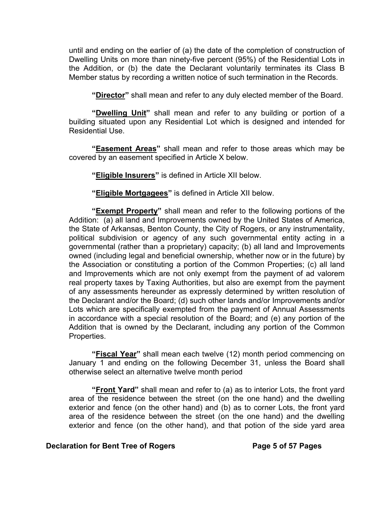until and ending on the earlier of (a) the date of the completion of construction of Dwelling Units on more than ninety-five percent (95%) of the Residential Lots in the Addition, or (b) the date the Declarant voluntarily terminates its Class B Member status by recording a written notice of such termination in the Records.

**"Director"** shall mean and refer to any duly elected member of the Board.

**"Dwelling Unit"** shall mean and refer to any building or portion of a building situated upon any Residential Lot which is designed and intended for Residential Use.

**"Easement Areas"** shall mean and refer to those areas which may be covered by an easement specified in Article X below.

**"Eligible Insurers"** is defined in Article XII below.

**"Eligible Mortgagees"** is defined in Article XII below.

**"Exempt Property"** shall mean and refer to the following portions of the Addition: (a) all land and Improvements owned by the United States of America, the State of Arkansas, Benton County, the City of Rogers, or any instrumentality, political subdivision or agency of any such governmental entity acting in a governmental (rather than a proprietary) capacity; (b) all land and Improvements owned (including legal and beneficial ownership, whether now or in the future) by the Association or constituting a portion of the Common Properties; (c) all land and Improvements which are not only exempt from the payment of ad valorem real property taxes by Taxing Authorities, but also are exempt from the payment of any assessments hereunder as expressly determined by written resolution of the Declarant and/or the Board; (d) such other lands and/or Improvements and/or Lots which are specifically exempted from the payment of Annual Assessments in accordance with a special resolution of the Board; and (e) any portion of the Addition that is owned by the Declarant, including any portion of the Common Properties.

**"Fiscal Year"** shall mean each twelve (12) month period commencing on January 1 and ending on the following December 31, unless the Board shall otherwise select an alternative twelve month period

**"Front Yard"** shall mean and refer to (a) as to interior Lots, the front yard area of the residence between the street (on the one hand) and the dwelling exterior and fence (on the other hand) and (b) as to corner Lots, the front yard area of the residence between the street (on the one hand) and the dwelling exterior and fence (on the other hand), and that potion of the side yard area

## **Declaration for Bent Tree of Rogers <b>Page 5 of 57 Pages**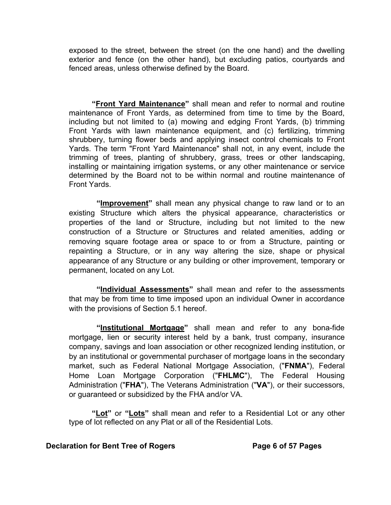exposed to the street, between the street (on the one hand) and the dwelling exterior and fence (on the other hand), but excluding patios, courtyards and fenced areas, unless otherwise defined by the Board.

**"Front Yard Maintenance"** shall mean and refer to normal and routine maintenance of Front Yards, as determined from time to time by the Board, including but not limited to (a) mowing and edging Front Yards, (b) trimming Front Yards with lawn maintenance equipment, and (c) fertilizing, trimming shrubbery, turning flower beds and applying insect control chemicals to Front Yards. The term "Front Yard Maintenance" shall not, in any event, include the trimming of trees, planting of shrubbery, grass, trees or other landscaping, installing or maintaining irrigation systems, or any other maintenance or service determined by the Board not to be within normal and routine maintenance of Front Yards.

**"Improvement"** shall mean any physical change to raw land or to an existing Structure which alters the physical appearance, characteristics or properties of the land or Structure, including but not limited to the new construction of a Structure or Structures and related amenities, adding or removing square footage area or space to or from a Structure, painting or repainting a Structure, or in any way altering the size, shape or physical appearance of any Structure or any building or other improvement, temporary or permanent, located on any Lot.

**"Individual Assessments"** shall mean and refer to the assessments that may be from time to time imposed upon an individual Owner in accordance with the provisions of Section 5.1 hereof.

**"Institutional Mortgage"** shall mean and refer to any bona-fide mortgage, lien or security interest held by a bank, trust company, insurance company, savings and loan association or other recognized lending institution, or by an institutional or governmental purchaser of mortgage loans in the secondary market, such as Federal National Mortgage Association, ("**FNMA**"), Federal Home Loan Mortgage Corporation ("**FHLMC**"), The Federal Housing Administration ("**FHA**"), The Veterans Administration ("**VA**"), or their successors, or guaranteed or subsidized by the FHA and/or VA.

**"Lot"** or **"Lots"** shall mean and refer to a Residential Lot or any other type of lot reflected on any Plat or all of the Residential Lots.

## **Declaration for Bent Tree of Rogers The Construction Page 6 of 57 Pages**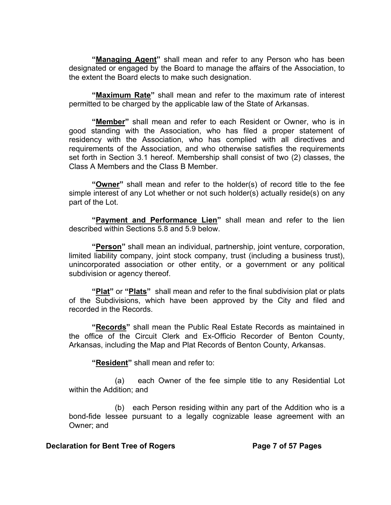**"Managing Agent"** shall mean and refer to any Person who has been designated or engaged by the Board to manage the affairs of the Association, to the extent the Board elects to make such designation.

**"Maximum Rate"** shall mean and refer to the maximum rate of interest permitted to be charged by the applicable law of the State of Arkansas.

**"Member"** shall mean and refer to each Resident or Owner, who is in good standing with the Association, who has filed a proper statement of residency with the Association, who has complied with all directives and requirements of the Association, and who otherwise satisfies the requirements set forth in Section 3.1 hereof. Membership shall consist of two (2) classes, the Class A Members and the Class B Member.

**"Owner"** shall mean and refer to the holder(s) of record title to the fee simple interest of any Lot whether or not such holder(s) actually reside(s) on any part of the Lot.

**"Payment and Performance Lien"** shall mean and refer to the lien described within Sections 5.8 and 5.9 below.

**"Person"** shall mean an individual, partnership, joint venture, corporation, limited liability company, joint stock company, trust (including a business trust), unincorporated association or other entity, or a government or any political subdivision or agency thereof.

**"Plat"** or **"Plats"** shall mean and refer to the final subdivision plat or plats of the Subdivisions, which have been approved by the City and filed and recorded in the Records.

**"Records"** shall mean the Public Real Estate Records as maintained in the office of the Circuit Clerk and Ex-Officio Recorder of Benton County, Arkansas, including the Map and Plat Records of Benton County, Arkansas.

**"Resident"** shall mean and refer to:

(a) each Owner of the fee simple title to any Residential Lot within the Addition; and

(b) each Person residing within any part of the Addition who is a bond-fide lessee pursuant to a legally cognizable lease agreement with an Owner; and

#### **Declaration for Bent Tree of Rogers Transform Page 7 of 57 Pages**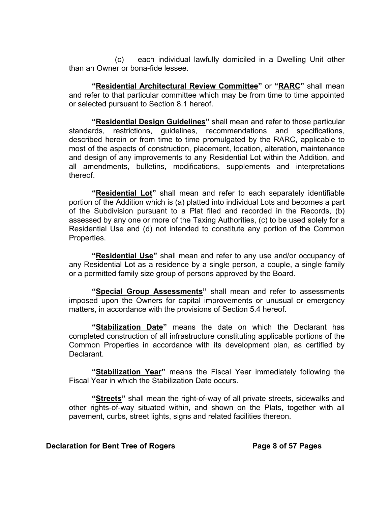(c) each individual lawfully domiciled in a Dwelling Unit other than an Owner or bona-fide lessee.

**"Residential Architectural Review Committee"** or **"RARC"** shall mean and refer to that particular committee which may be from time to time appointed or selected pursuant to Section 8.1 hereof.

**"Residential Design Guidelines"** shall mean and refer to those particular standards, restrictions, guidelines, recommendations and specifications, described herein or from time to time promulgated by the RARC, applicable to most of the aspects of construction, placement, location, alteration, maintenance and design of any improvements to any Residential Lot within the Addition, and all amendments, bulletins, modifications, supplements and interpretations thereof.

**"Residential Lot"** shall mean and refer to each separately identifiable portion of the Addition which is (a) platted into individual Lots and becomes a part of the Subdivision pursuant to a Plat filed and recorded in the Records, (b) assessed by any one or more of the Taxing Authorities, (c) to be used solely for a Residential Use and (d) not intended to constitute any portion of the Common Properties.

**"Residential Use"** shall mean and refer to any use and/or occupancy of any Residential Lot as a residence by a single person, a couple, a single family or a permitted family size group of persons approved by the Board.

**"Special Group Assessments"** shall mean and refer to assessments imposed upon the Owners for capital improvements or unusual or emergency matters, in accordance with the provisions of Section 5.4 hereof.

**"Stabilization Date"** means the date on which the Declarant has completed construction of all infrastructure constituting applicable portions of the Common Properties in accordance with its development plan, as certified by Declarant.

**"Stabilization Year"** means the Fiscal Year immediately following the Fiscal Year in which the Stabilization Date occurs.

**"Streets"** shall mean the right-of-way of all private streets, sidewalks and other rights-of-way situated within, and shown on the Plats, together with all pavement, curbs, street lights, signs and related facilities thereon.

#### **Declaration for Bent Tree of Rogers Transform Seage 8 of 57 Pages**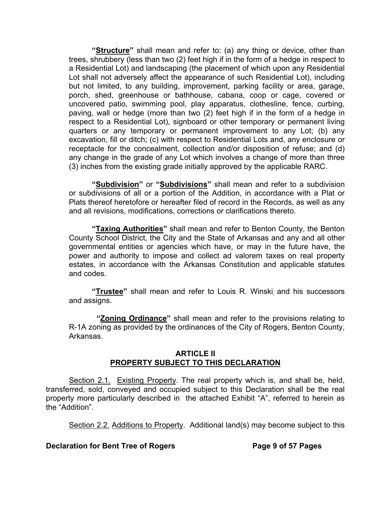**"Structure"** shall mean and refer to: (a) any thing or device, other than trees, shrubbery (less than two (2) feet high if in the form of a hedge in respect to a Residential Lot) and landscaping (the placement of which upon any Residential Lot shall not adversely affect the appearance of such Residential Lot), including but not limited, to any building, improvement, parking facility or area, garage, porch, shed, greenhouse or bathhouse, cabana, coop or cage, covered or uncovered patio, swimming pool, play apparatus, clothesline, fence, curbing, paving, wall or hedge (more than two (2) feet high if in the form of a hedge in respect to a Residential Lot), signboard or other temporary or permanent living quarters or any temporary or permanent improvement to any Lot; (b) any excavation, fill or ditch; (c) with respect to Residential Lots and, any enclosure or receptacle for the concealment, collection and/or disposition of refuse; and (d) any change in the grade of any Lot which involves a change of more than three (3) inches from the existing grade initially approved by the applicable RARC.

**"Subdivision"** or **"Subdivisions"** shall mean and refer to a subdivision or subdivisions of all or a portion of the Addition, in accordance with a Plat or Plats thereof heretofore or hereafter filed of record in the Records, as well as any and all revisions, modifications, corrections or clarifications thereto.

**"Taxing Authorities"** shall mean and refer to Benton County, the Benton County School District, the City and the State of Arkansas and any and all other governmental entities or agencies which have, or may in the future have, the power and authority to impose and collect ad valorem taxes on real property estates, in accordance with the Arkansas Constitution and applicable statutes and codes.

**"Trustee"** shall mean and refer to Louis R. Winski, and his successors and assigns.

**"Zoning Ordinance"** shall mean and refer to the provisions relating to R-1A zoning as provided by the ordinances of the City of Rogers, Benton County, Arkansas.

## **ARTICLE II PROPERTY SUBJECT TO THIS DECLARATION**

Section 2.1. Existing Property. The real property which is, and shall be, held, transferred, sold, conveyed and occupied subject to this Declaration shall be the real property more particularly described in the attached Exhibit "A", referred to herein as the "Addition".

Section 2.2. Additions to Property. Additional land(s) may become subject to this

**Declaration for Bent Tree of Rogers The State Page 9 of 57 Pages**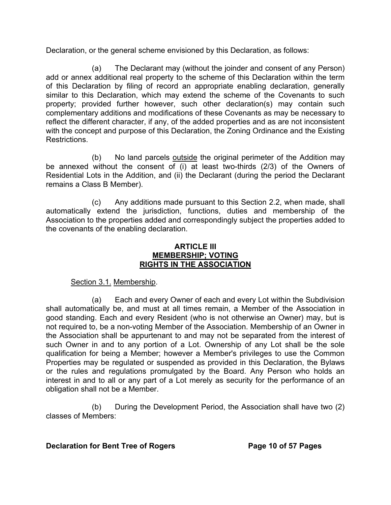Declaration, or the general scheme envisioned by this Declaration, as follows:

(a) The Declarant may (without the joinder and consent of any Person) add or annex additional real property to the scheme of this Declaration within the term of this Declaration by filing of record an appropriate enabling declaration, generally similar to this Declaration, which may extend the scheme of the Covenants to such property; provided further however, such other declaration(s) may contain such complementary additions and modifications of these Covenants as may be necessary to reflect the different character, if any, of the added properties and as are not inconsistent with the concept and purpose of this Declaration, the Zoning Ordinance and the Existing Restrictions.

(b) No land parcels outside the original perimeter of the Addition may be annexed without the consent of (i) at least two-thirds (2/3) of the Owners of Residential Lots in the Addition, and (ii) the Declarant (during the period the Declarant remains a Class B Member).

(c) Any additions made pursuant to this Section 2.2, when made, shall automatically extend the jurisdiction, functions, duties and membership of the Association to the properties added and correspondingly subject the properties added to the covenants of the enabling declaration.

#### **ARTICLE III MEMBERSHIP; VOTING RIGHTS IN THE ASSOCIATION**

# Section 3.1. Membership.

(a) Each and every Owner of each and every Lot within the Subdivision shall automatically be, and must at all times remain, a Member of the Association in good standing. Each and every Resident (who is not otherwise an Owner) may, but is not required to, be a non-voting Member of the Association. Membership of an Owner in the Association shall be appurtenant to and may not be separated from the interest of such Owner in and to any portion of a Lot. Ownership of any Lot shall be the sole qualification for being a Member; however a Member's privileges to use the Common Properties may be regulated or suspended as provided in this Declaration, the Bylaws or the rules and regulations promulgated by the Board. Any Person who holds an interest in and to all or any part of a Lot merely as security for the performance of an obligation shall not be a Member.

(b) During the Development Period, the Association shall have two (2) classes of Members:

## **Declaration for Bent Tree of Rogers Page 10 of 57 Pages**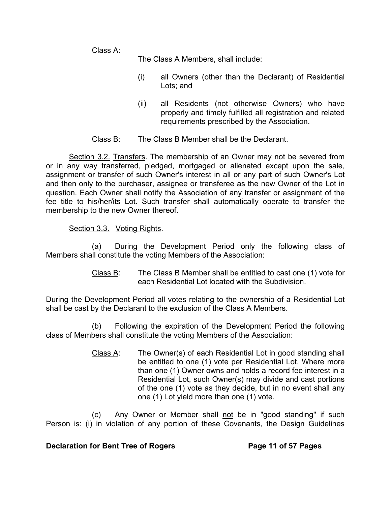Class A:

The Class A Members, shall include:

- (i) all Owners (other than the Declarant) of Residential Lots; and
- (ii) all Residents (not otherwise Owners) who have properly and timely fulfilled all registration and related requirements prescribed by the Association.
- Class B: The Class B Member shall be the Declarant.

Section 3.2. Transfers. The membership of an Owner may not be severed from or in any way transferred, pledged, mortgaged or alienated except upon the sale, assignment or transfer of such Owner's interest in all or any part of such Owner's Lot and then only to the purchaser, assignee or transferee as the new Owner of the Lot in question. Each Owner shall notify the Association of any transfer or assignment of the fee title to his/her/its Lot. Such transfer shall automatically operate to transfer the membership to the new Owner thereof.

## Section 3.3. Voting Rights.

(a) During the Development Period only the following class of Members shall constitute the voting Members of the Association:

> Class B: The Class B Member shall be entitled to cast one (1) vote for each Residential Lot located with the Subdivision.

During the Development Period all votes relating to the ownership of a Residential Lot shall be cast by the Declarant to the exclusion of the Class A Members.

(b) Following the expiration of the Development Period the following class of Members shall constitute the voting Members of the Association:

> Class A: The Owner(s) of each Residential Lot in good standing shall be entitled to one (1) vote per Residential Lot. Where more than one (1) Owner owns and holds a record fee interest in a Residential Lot, such Owner(s) may divide and cast portions of the one (1) vote as they decide, but in no event shall any one (1) Lot yield more than one (1) vote.

(c) Any Owner or Member shall not be in "good standing" if such Person is: (i) in violation of any portion of these Covenants, the Design Guidelines

## **Declaration for Bent Tree of Rogers Page 11 of 57 Pages**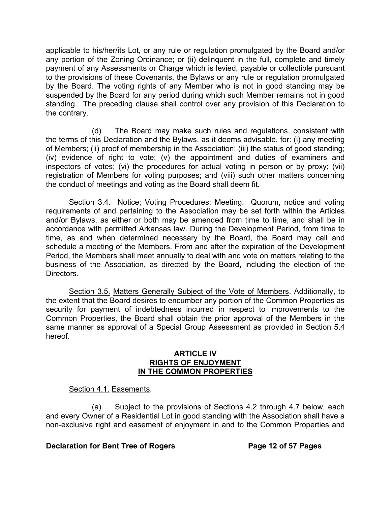applicable to his/her/its Lot, or any rule or regulation promulgated by the Board and/or any portion of the Zoning Ordinance; or (ii) delinquent in the full, complete and timely payment of any Assessments or Charge which is levied, payable or collectible pursuant to the provisions of these Covenants, the Bylaws or any rule or regulation promulgated by the Board. The voting rights of any Member who is not in good standing may be suspended by the Board for any period during which such Member remains not in good standing. The preceding clause shall control over any provision of this Declaration to the contrary.

(d) The Board may make such rules and regulations, consistent with the terms of this Declaration and the Bylaws, as it deems advisable, for: (i) any meeting of Members; (ii) proof of membership in the Association; (iii) the status of good standing; (iv) evidence of right to vote; (v) the appointment and duties of examiners and inspectors of votes; (vi) the procedures for actual voting in person or by proxy; (vii) registration of Members for voting purposes; and (viii) such other matters concerning the conduct of meetings and voting as the Board shall deem fit.

Section 3.4. Notice; Voting Procedures; Meeting. Quorum, notice and voting requirements of and pertaining to the Association may be set forth within the Articles and/or Bylaws, as either or both may be amended from time to time, and shall be in accordance with permitted Arkansas law. During the Development Period, from time to time, as and when determined necessary by the Board, the Board may call and schedule a meeting of the Members. From and after the expiration of the Development Period, the Members shall meet annually to deal with and vote on matters relating to the business of the Association, as directed by the Board, including the election of the Directors.

Section 3.5. Matters Generally Subject of the Vote of Members. Additionally, to the extent that the Board desires to encumber any portion of the Common Properties as security for payment of indebtedness incurred in respect to improvements to the Common Properties, the Board shall obtain the prior approval of the Members in the same manner as approval of a Special Group Assessment as provided in Section 5.4 hereof.

#### **ARTICLE IV RIGHTS OF ENJOYMENT IN THE COMMON PROPERTIES**

# Section 4.1. Easements.

 (a) Subject to the provisions of Sections 4.2 through 4.7 below, each and every Owner of a Residential Lot in good standing with the Association shall have a non-exclusive right and easement of enjoyment in and to the Common Properties and

## **Declaration for Bent Tree of Rogers Page 12 of 57 Pages**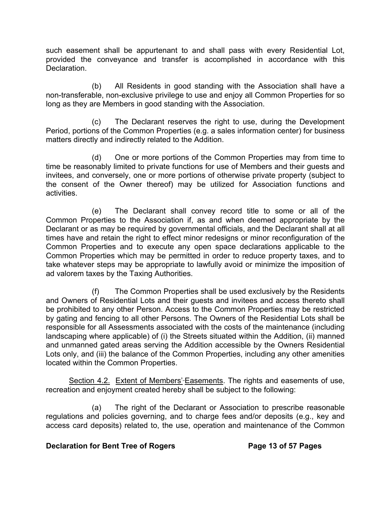such easement shall be appurtenant to and shall pass with every Residential Lot, provided the conveyance and transfer is accomplished in accordance with this **Declaration** 

(b) All Residents in good standing with the Association shall have a non-transferable, non-exclusive privilege to use and enjoy all Common Properties for so long as they are Members in good standing with the Association.

(c) The Declarant reserves the right to use, during the Development Period, portions of the Common Properties (e.g. a sales information center) for business matters directly and indirectly related to the Addition.

(d) One or more portions of the Common Properties may from time to time be reasonably limited to private functions for use of Members and their guests and invitees, and conversely, one or more portions of otherwise private property (subject to the consent of the Owner thereof) may be utilized for Association functions and activities.

(e) The Declarant shall convey record title to some or all of the Common Properties to the Association if, as and when deemed appropriate by the Declarant or as may be required by governmental officials, and the Declarant shall at all times have and retain the right to effect minor redesigns or minor reconfiguration of the Common Properties and to execute any open space declarations applicable to the Common Properties which may be permitted in order to reduce property taxes, and to take whatever steps may be appropriate to lawfully avoid or minimize the imposition of ad valorem taxes by the Taxing Authorities.

(f) The Common Properties shall be used exclusively by the Residents and Owners of Residential Lots and their guests and invitees and access thereto shall be prohibited to any other Person. Access to the Common Properties may be restricted by gating and fencing to all other Persons. The Owners of the Residential Lots shall be responsible for all Assessments associated with the costs of the maintenance (including landscaping where applicable) of (i) the Streets situated within the Addition, (ii) manned and unmanned gated areas serving the Addition accessible by the Owners Residential Lots only, and (iii) the balance of the Common Properties, including any other amenities located within the Common Properties.

Section 4.2. Extent of Members'-Easements. The rights and easements of use, recreation and enjoyment created hereby shall be subject to the following:

(a) The right of the Declarant or Association to prescribe reasonable regulations and policies governing, and to charge fees and/or deposits (e.g., key and access card deposits) related to, the use, operation and maintenance of the Common

## **Declaration for Bent Tree of Rogers Page 13 of 57 Pages**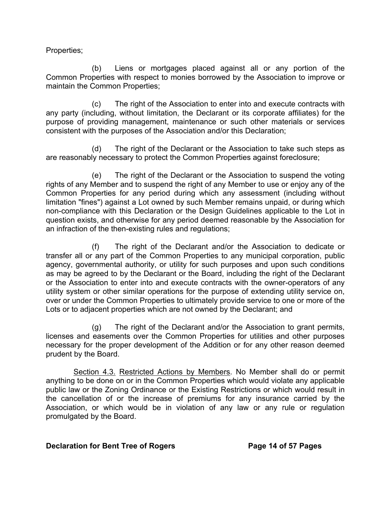Properties;

(b) Liens or mortgages placed against all or any portion of the Common Properties with respect to monies borrowed by the Association to improve or maintain the Common Properties;

(c) The right of the Association to enter into and execute contracts with any party (including, without limitation, the Declarant or its corporate affiliates) for the purpose of providing management, maintenance or such other materials or services consistent with the purposes of the Association and/or this Declaration;

(d) The right of the Declarant or the Association to take such steps as are reasonably necessary to protect the Common Properties against foreclosure;

(e) The right of the Declarant or the Association to suspend the voting rights of any Member and to suspend the right of any Member to use or enjoy any of the Common Properties for any period during which any assessment (including without limitation "fines") against a Lot owned by such Member remains unpaid, or during which non-compliance with this Declaration or the Design Guidelines applicable to the Lot in question exists, and otherwise for any period deemed reasonable by the Association for an infraction of the then-existing rules and regulations;

(f) The right of the Declarant and/or the Association to dedicate or transfer all or any part of the Common Properties to any municipal corporation, public agency, governmental authority, or utility for such purposes and upon such conditions as may be agreed to by the Declarant or the Board, including the right of the Declarant or the Association to enter into and execute contracts with the owner-operators of any utility system or other similar operations for the purpose of extending utility service on, over or under the Common Properties to ultimately provide service to one or more of the Lots or to adjacent properties which are not owned by the Declarant; and

(g) The right of the Declarant and/or the Association to grant permits, licenses and easements over the Common Properties for utilities and other purposes necessary for the proper development of the Addition or for any other reason deemed prudent by the Board.

Section 4.3. Restricted Actions by Members. No Member shall do or permit anything to be done on or in the Common Properties which would violate any applicable public law or the Zoning Ordinance or the Existing Restrictions or which would result in the cancellation of or the increase of premiums for any insurance carried by the Association, or which would be in violation of any law or any rule or regulation promulgated by the Board.

## **Declaration for Bent Tree of Rogers Page 14 of 57 Pages**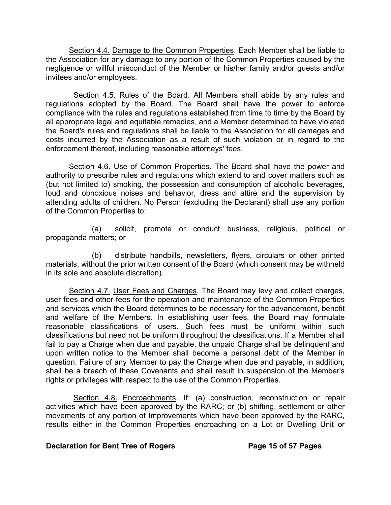Section 4.4. Damage to the Common Properties. Each Member shall be liable to the Association for any damage to any portion of the Common Properties caused by the negligence or willful misconduct of the Member or his/her family and/or guests and/or invitees and/or employees.

Section 4.5. Rules of the Board. All Members shall abide by any rules and regulations adopted by the Board. The Board shall have the power to enforce compliance with the rules and regulations established from time to time by the Board by all appropriate legal and equitable remedies, and a Member determined to have violated the Board's rules and regulations shall be liable to the Association for all damages and costs incurred by the Association as a result of such violation or in regard to the enforcement thereof, including reasonable attorneys' fees.

Section 4.6. Use of Common Properties. The Board shall have the power and authority to prescribe rules and regulations which extend to and cover matters such as (but not limited to) smoking, the possession and consumption of alcoholic beverages, loud and obnoxious noises and behavior, dress and attire and the supervision by attending adults of children. No Person (excluding the Declarant) shall use any portion of the Common Properties to:

(a) solicit, promote or conduct business, religious, political or propaganda matters; or

(b) distribute handbills, newsletters, flyers, circulars or other printed materials, without the prior written consent of the Board (which consent may be withheld in its sole and absolute discretion).

Section 4.7. User Fees and Charges. The Board may levy and collect charges, user fees and other fees for the operation and maintenance of the Common Properties and services which the Board determines to be necessary for the advancement, benefit and welfare of the Members. In establishing user fees, the Board may formulate reasonable classifications of users. Such fees must be uniform within such classifications but need not be uniform throughout the classifications. If a Member shall fail to pay a Charge when due and payable, the unpaid Charge shall be delinquent and upon written notice to the Member shall become a personal debt of the Member in question. Failure of any Member to pay the Charge when due and payable, in addition, shall be a breach of these Covenants and shall result in suspension of the Member's rights or privileges with respect to the use of the Common Properties.

Section 4.8. Encroachments. If: (a) construction, reconstruction or repair activities which have been approved by the RARC; or (b) shifting, settlement or other movements of any portion of Improvements which have been approved by the RARC, results either in the Common Properties encroaching on a Lot or Dwelling Unit or

## **Declaration for Bent Tree of Rogers Page 15 of 57 Pages**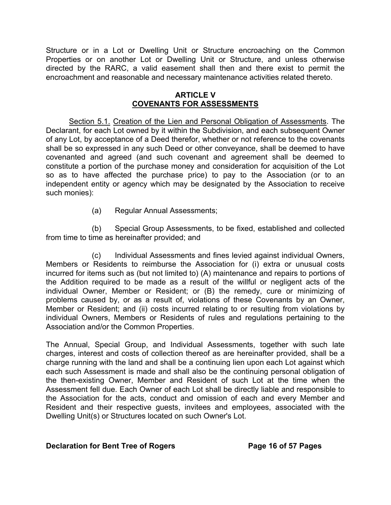Structure or in a Lot or Dwelling Unit or Structure encroaching on the Common Properties or on another Lot or Dwelling Unit or Structure, and unless otherwise directed by the RARC, a valid easement shall then and there exist to permit the encroachment and reasonable and necessary maintenance activities related thereto.

## **ARTICLE V COVENANTS FOR ASSESSMENTS**

Section 5.1. Creation of the Lien and Personal Obligation of Assessments. The Declarant, for each Lot owned by it within the Subdivision, and each subsequent Owner of any Lot, by acceptance of a Deed therefor, whether or not reference to the covenants shall be so expressed in any such Deed or other conveyance, shall be deemed to have covenanted and agreed (and such covenant and agreement shall be deemed to constitute a portion of the purchase money and consideration for acquisition of the Lot so as to have affected the purchase price) to pay to the Association (or to an independent entity or agency which may be designated by the Association to receive such monies):

(a) Regular Annual Assessments;

(b) Special Group Assessments, to be fixed, established and collected from time to time as hereinafter provided; and

(c) Individual Assessments and fines levied against individual Owners, Members or Residents to reimburse the Association for (i) extra or unusual costs incurred for items such as (but not limited to) (A) maintenance and repairs to portions of the Addition required to be made as a result of the willful or negligent acts of the individual Owner, Member or Resident; or (B) the remedy, cure or minimizing of problems caused by, or as a result of, violations of these Covenants by an Owner, Member or Resident; and (ii) costs incurred relating to or resulting from violations by individual Owners, Members or Residents of rules and regulations pertaining to the Association and/or the Common Properties.

The Annual, Special Group, and Individual Assessments, together with such late charges, interest and costs of collection thereof as are hereinafter provided, shall be a charge running with the land and shall be a continuing lien upon each Lot against which each such Assessment is made and shall also be the continuing personal obligation of the then-existing Owner, Member and Resident of such Lot at the time when the Assessment fell due. Each Owner of each Lot shall be directly liable and responsible to the Association for the acts, conduct and omission of each and every Member and Resident and their respective guests, invitees and employees, associated with the Dwelling Unit(s) or Structures located on such Owner's Lot.

## **Declaration for Bent Tree of Rogers Page 16 of 57 Pages**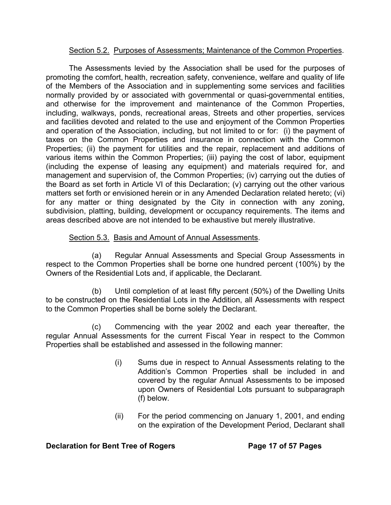## Section 5.2. Purposes of Assessments; Maintenance of the Common Properties.

The Assessments levied by the Association shall be used for the purposes of promoting the comfort, health, recreation safety, convenience, welfare and quality of life of the Members of the Association and in supplementing some services and facilities normally provided by or associated with governmental or quasi-governmental entities, and otherwise for the improvement and maintenance of the Common Properties, including, walkways, ponds, recreational areas, Streets and other properties, services and facilities devoted and related to the use and enjoyment of the Common Properties and operation of the Association, including, but not limited to or for: (i) the payment of taxes on the Common Properties and insurance in connection with the Common Properties; (ii) the payment for utilities and the repair, replacement and additions of various items within the Common Properties; (iii) paying the cost of labor, equipment (including the expense of leasing any equipment) and materials required for, and management and supervision of, the Common Properties; (iv) carrying out the duties of the Board as set forth in Article VI of this Declaration; (v) carrying out the other various matters set forth or envisioned herein or in any Amended Declaration related hereto; (vi) for any matter or thing designated by the City in connection with any zoning, subdivision, platting, building, development or occupancy requirements. The items and areas described above are not intended to be exhaustive but merely illustrative.

# Section 5.3. Basis and Amount of Annual Assessments.

(a) Regular Annual Assessments and Special Group Assessments in respect to the Common Properties shall be borne one hundred percent (100%) by the Owners of the Residential Lots and, if applicable, the Declarant.

(b) Until completion of at least fifty percent (50%) of the Dwelling Units to be constructed on the Residential Lots in the Addition, all Assessments with respect to the Common Properties shall be borne solely the Declarant.

(c) Commencing with the year 2002 and each year thereafter, the regular Annual Assessments for the current Fiscal Year in respect to the Common Properties shall be established and assessed in the following manner:

- (i) Sums due in respect to Annual Assessments relating to the Addition's Common Properties shall be included in and covered by the regular Annual Assessments to be imposed upon Owners of Residential Lots pursuant to subparagraph (f) below.
- (ii) For the period commencing on January 1, 2001, and ending on the expiration of the Development Period, Declarant shall

## **Declaration for Bent Tree of Rogers Transform Page 17 of 57 Pages**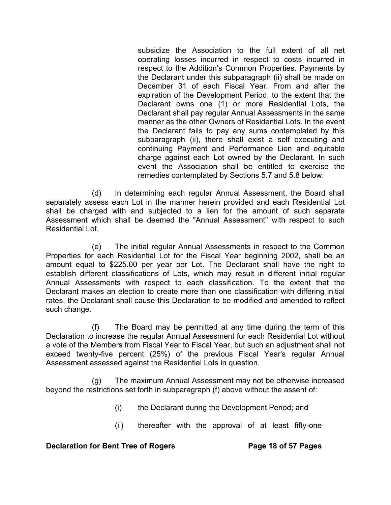subsidize the Association to the full extent of all net operating losses incurred in respect to costs incurred in respect to the Addition's Common Properties. Payments by the Declarant under this subparagraph (ii) shall be made on December 31 of each Fiscal Year. From and after the expiration of the Development Period, to the extent that the Declarant owns one (1) or more Residential Lots, the Declarant shall pay regular Annual Assessments in the same manner as the other Owners of Residential Lots. In the event the Declarant fails to pay any sums contemplated by this subparagraph (ii), there shall exist a self executing and continuing Payment and Performance Lien and equitable charge against each Lot owned by the Declarant. In such event the Association shall be entitled to exercise the remedies contemplated by Sections 5.7 and 5.8 below.

(d) In determining each regular Annual Assessment, the Board shall separately assess each Lot in the manner herein provided and each Residential Lot shall be charged with and subjected to a lien for the amount of such separate Assessment which shall be deemed the "Annual Assessment" with respect to such Residential Lot.

(e) The initial regular Annual Assessments in respect to the Common Properties for each Residential Lot for the Fiscal Year beginning 2002, shall be an amount equal to \$225.00 per year per Lot. The Declarant shall have the right to establish different classifications of Lots, which may result in different initial regular Annual Assessments with respect to each classification. To the extent that the Declarant makes an election to create more than one classification with differing initial rates, the Declarant shall cause this Declaration to be modified and amended to reflect such change.

(f) The Board may be permitted at any time during the term of this Declaration to increase the regular Annual Assessment for each Residential Lot without a vote of the Members from Fiscal Year to Fiscal Year, but such an adjustment shall not exceed twenty-five percent (25%) of the previous Fiscal Year's regular Annual Assessment assessed against the Residential Lots in question.

(g) The maximum Annual Assessment may not be otherwise increased beyond the restrictions set forth in subparagraph (f) above without the assent of:

- (i) the Declarant during the Development Period; and
- (ii) thereafter with the approval of at least fifty-one

## **Declaration for Bent Tree of Rogers The State 18 of 57 Pages**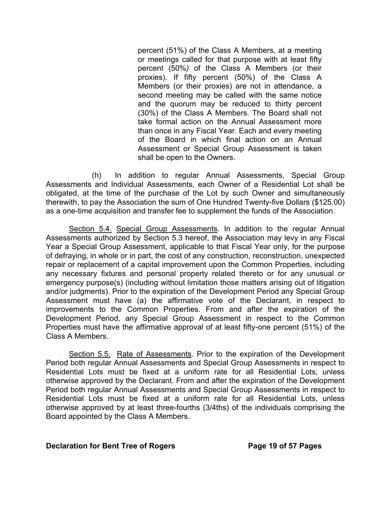percent (51%) of the Class A Members, at a meeting or meetings called for that purpose with at least fifty percent (50%*)* of the Class A Members (or their proxies). If fifty percent (50%) of the Class A Members (or their proxies) are not in attendance, a second meeting may be called with the same notice and the quorum may be reduced to thirty percent (30%) of the Class A Members. The Board shall not take formal action on the Annual Assessment more than once in any Fiscal Year. Each and every meeting of the Board in which final action on an Annual Assessment or Special Group Assessment is taken shall be open to the Owners.

(h) In addition to regular Annual Assessments, Special Group Assessments and Individual Assessments, each Owner of a Residential Lot shall be obligated, at the time of the purchase of the Lot by such Owner and simultaneously therewith, to pay the Association the sum of One Hundred Twenty-five Dollars (\$125.00) as a one-time acquisition and transfer fee to supplement the funds of the Association.

Section 5.4. Special Group Assessments*.* In addition to the regular Annual Assessments authorized by Section 5.3 hereof, the Association may levy in any Fiscal Year a Special Group Assessment, applicable to that Fiscal Year only, for the purpose of defraying, in whole or in part, the cost of any construction, reconstruction, unexpected repair or replacement of a capital improvement upon the Common Properties, including any necessary fixtures and personal property related thereto or for any unusual or emergency purpose(s) (including without limitation those matters arising out of litigation and/or judgments). Prior to the expiration of the Development Period any Special Group Assessment must have (a) the affirmative vote of the Declarant, in respect to improvements to the Common Properties. From and after the expiration of the Development Period, any Special Group Assessment in respect to the Common Properties must have the affirmative approval of at least fifty-one percent (51%) of the Class A Members.

Section 5.5. Rate of Assessments. Prior to the expiration of the Development Period both regular Annual Assessments and Special Group Assessments in respect to Residential Lots must be fixed at a uniform rate for all Residential Lots, unless otherwise approved by the Declarant. From and after the expiration of the Development Period both regular Annual Assessments and Special Group Assessments in respect to Residential Lots must be fixed at a uniform rate for all Residential Lots, unless otherwise approved by at least three-fourths (3/4ths) of the individuals comprising the Board appointed by the Class A Members.

#### **Declaration for Bent Tree of Rogers Page 19 of 57 Pages**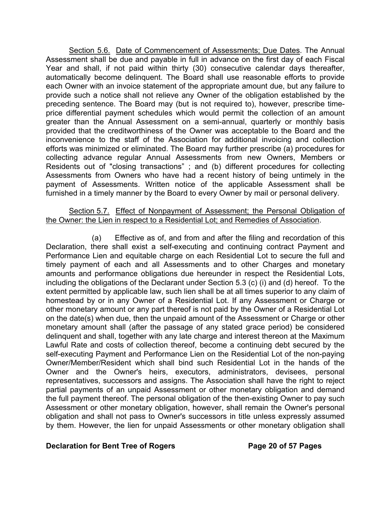Section 5.6. Date of Commencement of Assessments; Due Dates. The Annual Assessment shall be due and payable in full in advance on the first day of each Fiscal Year and shall, if not paid within thirty (30) consecutive calendar days thereafter, automatically become delinquent. The Board shall use reasonable efforts to provide each Owner with an invoice statement of the appropriate amount due, but any failure to provide such a notice shall not relieve any Owner of the obligation established by the preceding sentence. The Board may (but is not required to), however, prescribe timeprice differential payment schedules which would permit the collection of an amount greater than the Annual Assessment on a semi-annual, quarterly or monthly basis provided that the creditworthiness of the Owner was acceptable to the Board and the inconvenience to the staff of the Association for additional invoicing and collection efforts was minimized or eliminated. The Board may further prescribe (a) procedures for collecting advance regular Annual Assessments from new Owners, Members or Residents out of "closing transactions" ; and (b) different procedures for collecting Assessments from Owners who have had a recent history of being untimely in the payment of Assessments. Written notice of the applicable Assessment shall be furnished in a timely manner by the Board to every Owner by mail or personal delivery.

#### Section 5.7. Effect of Nonpayment of Assessment; the Personal Obligation of the Owner: the Lien in respect to a Residential Lot; and Remedies of Association.

(a) Effective as of, and from and after the filing and recordation of this Declaration, there shall exist a self-executing and continuing contract Payment and Performance Lien and equitable charge on each Residential Lot to secure the full and timely payment of each and all Assessments and to other Charges and monetary amounts and performance obligations due hereunder in respect the Residential Lots, including the obligations of the Declarant under Section 5.3 (c) (i) and (d) hereof. To the extent permitted by applicable law, such lien shall be at all times superior to any claim of homestead by or in any Owner of a Residential Lot. If any Assessment or Charge or other monetary amount or any part thereof is not paid by the Owner of a Residential Lot on the date(s) when due, then the unpaid amount of the Assessment or Charge or other monetary amount shall (after the passage of any stated grace period) be considered delinquent and shall, together with any late charge and interest thereon at the Maximum Lawful Rate and costs of collection thereof, become a continuing debt secured by the self-executing Payment and Performance Lien on the Residential Lot of the non-paying Owner/Member/Resident which shall bind such Residential Lot in the hands of the Owner and the Owner's heirs, executors, administrators, devisees, personal representatives, successors and assigns. The Association shall have the right to reject partial payments of an unpaid Assessment or other monetary obligation and demand the full payment thereof. The personal obligation of the then-existing Owner to pay such Assessment or other monetary obligation, however, shall remain the Owner's personal obligation and shall not pass to Owner's successors in title unless expressly assumed by them. However, the lien for unpaid Assessments or other monetary obligation shall

#### **Declaration for Bent Tree of Rogers Page 20 of 57 Pages**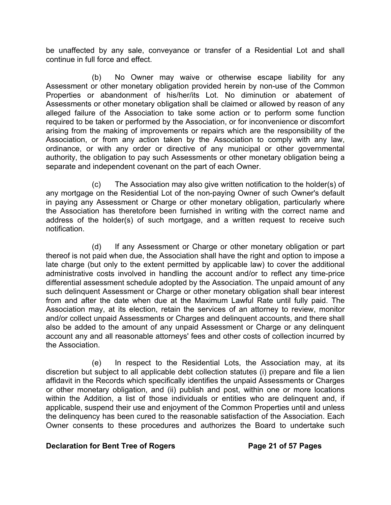be unaffected by any sale, conveyance or transfer of a Residential Lot and shall continue in full force and effect.

(b) No Owner may waive or otherwise escape liability for any Assessment or other monetary obligation provided herein by non-use of the Common Properties or abandonment of his/her/its Lot. No diminution or abatement of Assessments or other monetary obligation shall be claimed or allowed by reason of any alleged failure of the Association to take some action or to perform some function required to be taken or performed by the Association, or for inconvenience or discomfort arising from the making of improvements or repairs which are the responsibility of the Association, or from any action taken by the Association to comply with any law, ordinance, or with any order or directive of any municipal or other governmental authority, the obligation to pay such Assessments or other monetary obligation being a separate and independent covenant on the part of each Owner.

(c) The Association may also give written notification to the holder(s) of any mortgage on the Residential Lot of the non-paying Owner of such Owner's default in paying any Assessment or Charge or other monetary obligation, particularly where the Association has theretofore been furnished in writing with the correct name and address of the holder(s) of such mortgage, and a written request to receive such notification.

(d) If any Assessment or Charge or other monetary obligation or part thereof is not paid when due, the Association shall have the right and option to impose a late charge (but only to the extent permitted by applicable law) to cover the additional administrative costs involved in handling the account and/or to reflect any time-price differential assessment schedule adopted by the Association. The unpaid amount of any such delinquent Assessment or Charge or other monetary obligation shall bear interest from and after the date when due at the Maximum Lawful Rate until fully paid. The Association may, at its election, retain the services of an attorney to review, monitor and/or collect unpaid Assessments or Charges and delinquent accounts, and there shall also be added to the amount of any unpaid Assessment or Charge or any delinquent account any and all reasonable attorneys' fees and other costs of collection incurred by the Association.

(e) In respect to the Residential Lots, the Association may, at its discretion but subject to all applicable debt collection statutes (i) prepare and file a lien affidavit in the Records which specifically identifies the unpaid Assessments or Charges or other monetary obligation, and (ii) publish and post, within one or more locations within the Addition, a list of those individuals or entities who are delinquent and, if applicable, suspend their use and enjoyment of the Common Properties until and unless the delinquency has been cured to the reasonable satisfaction of the Association. Each Owner consents to these procedures and authorizes the Board to undertake such

## **Declaration for Bent Tree of Rogers Page 21 of 57 Pages**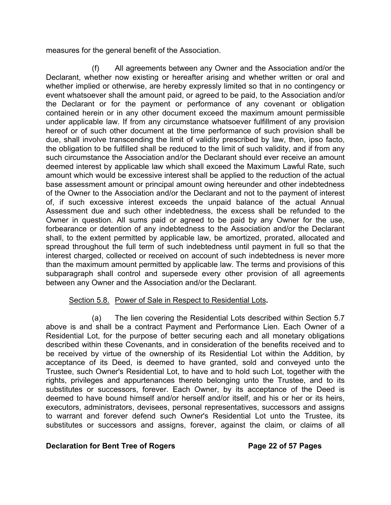measures for the general benefit of the Association.

 (f) All agreements between any Owner and the Association and/or the Declarant, whether now existing or hereafter arising and whether written or oral and whether implied or otherwise, are hereby expressly limited so that in no contingency or event whatsoever shall the amount paid, or agreed to be paid, to the Association and/or the Declarant or for the payment or performance of any covenant or obligation contained herein or in any other document exceed the maximum amount permissible under applicable law. If from any circumstance whatsoever fulfillment of any provision hereof or of such other document at the time performance of such provision shall be due, shall involve transcending the limit of validity prescribed by law, then, ipso facto, the obligation to be fulfilled shall be reduced to the limit of such validity, and if from any such circumstance the Association and/or the Declarant should ever receive an amount deemed interest by applicable law which shall exceed the Maximum Lawful Rate, such amount which would be excessive interest shall be applied to the reduction of the actual base assessment amount or principal amount owing hereunder and other indebtedness of the Owner to the Association and/or the Declarant and not to the payment of interest of, if such excessive interest exceeds the unpaid balance of the actual Annual Assessment due and such other indebtedness, the excess shall be refunded to the Owner in question. All sums paid or agreed to be paid by any Owner for the use, forbearance or detention of any indebtedness to the Association and/or the Declarant shall, to the extent permitted by applicable law, be amortized, prorated, allocated and spread throughout the full term of such indebtedness until payment in full so that the interest charged, collected or received on account of such indebtedness is never more than the maximum amount permitted by applicable law. The terms and provisions of this subparagraph shall control and supersede every other provision of all agreements between any Owner and the Association and/or the Declarant.

# Section 5.8. Power of Sale in Respect to Residential Lots*.*

(a) The lien covering the Residential Lots described within Section 5.7 above is and shall be a contract Payment and Performance Lien. Each Owner of a Residential Lot, for the purpose of better securing each and all monetary obligations described within these Covenants, and in consideration of the benefits received and to be received by virtue of the ownership of its Residential Lot within the Addition, by acceptance of its Deed, is deemed to have granted, sold and conveyed unto the Trustee, such Owner's Residential Lot, to have and to hold such Lot, together with the rights, privileges and appurtenances thereto belonging unto the Trustee, and to its substitutes or successors, forever. Each Owner, by its acceptance of the Deed is deemed to have bound himself and/or herself and/or itself, and his or her or its heirs, executors, administrators, devisees, personal representatives, successors and assigns to warrant and forever defend such Owner's Residential Lot unto the Trustee, its substitutes or successors and assigns, forever, against the claim, or claims of all

## **Declaration for Bent Tree of Rogers Page 22 of 57 Pages**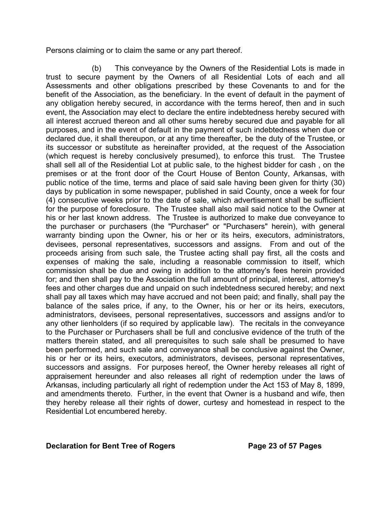Persons claiming or to claim the same or any part thereof.

(b) This conveyance by the Owners of the Residential Lots is made in trust to secure payment by the Owners of all Residential Lots of each and all Assessments and other obligations prescribed by these Covenants to and for the benefit of the Association, as the beneficiary. In the event of default in the payment of any obligation hereby secured, in accordance with the terms hereof, then and in such event, the Association may elect to declare the entire indebtedness hereby secured with all interest accrued thereon and all other sums hereby secured due and payable for all purposes, and in the event of default in the payment of such indebtedness when due or declared due, it shall thereupon, or at any time thereafter, be the duty of the Trustee, or its successor or substitute as hereinafter provided, at the request of the Association (which request is hereby conclusively presumed), to enforce this trust. The Trustee shall sell all of the Residential Lot at public sale, to the highest bidder for cash , on the premises or at the front door of the Court House of Benton County, Arkansas, with public notice of the time, terms and place of said sale having been given for thirty (30) days by publication in some newspaper, published in said County, once a week for four (4) consecutive weeks prior to the date of sale, which advertisement shall be sufficient for the purpose of foreclosure. The Trustee shall also mail said notice to the Owner at his or her last known address. The Trustee is authorized to make due conveyance to the purchaser or purchasers (the "Purchaser" or "Purchasers" herein), with general warranty binding upon the Owner, his or her or its heirs, executors, administrators, devisees, personal representatives, successors and assigns. From and out of the proceeds arising from such sale, the Trustee acting shall pay first, all the costs and expenses of making the sale, including a reasonable commission to itself, which commission shall be due and owing in addition to the attorney's fees herein provided for; and then shall pay to the Association the full amount of principal, interest, attorney's fees and other charges due and unpaid on such indebtedness secured hereby; and next shall pay all taxes which may have accrued and not been paid; and finally, shall pay the balance of the sales price, if any, to the Owner, his or her or its heirs, executors, administrators, devisees, personal representatives, successors and assigns and/or to any other lienholders (if so required by applicable law). The recitals in the conveyance to the Purchaser or Purchasers shall be full and conclusive evidence of the truth of the matters therein stated, and all prerequisites to such sale shall be presumed to have been performed, and such sale and conveyance shall be conclusive against the Owner, his or her or its heirs, executors, administrators, devisees, personal representatives, successors and assigns. For purposes hereof, the Owner hereby releases all right of appraisement hereunder and also releases all right of redemption under the laws of Arkansas, including particularly all right of redemption under the Act 153 of May 8, 1899, and amendments thereto. Further, in the event that Owner is a husband and wife, then they hereby release all their rights of dower, curtesy and homestead in respect to the Residential Lot encumbered hereby.

#### **Declaration for Bent Tree of Rogers Page 23 of 57 Pages**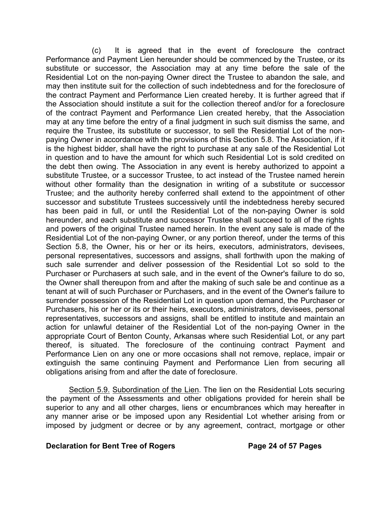(c) It is agreed that in the event of foreclosure the contract Performance and Payment Lien hereunder should be commenced by the Trustee, or its substitute or successor, the Association may at any time before the sale of the Residential Lot on the non-paying Owner direct the Trustee to abandon the sale, and may then institute suit for the collection of such indebtedness and for the foreclosure of the contract Payment and Performance Lien created hereby. It is further agreed that if the Association should institute a suit for the collection thereof and/or for a foreclosure of the contract Payment and Performance Lien created hereby, that the Association may at any time before the entry of a final judgment in such suit dismiss the same, and require the Trustee, its substitute or successor, to sell the Residential Lot of the nonpaying Owner in accordance with the provisions of this Section 5.8. The Association, if it is the highest bidder, shall have the right to purchase at any sale of the Residential Lot in question and to have the amount for which such Residential Lot is sold credited on the debt then owing. The Association in any event is hereby authorized to appoint a substitute Trustee, or a successor Trustee, to act instead of the Trustee named herein without other formality than the designation in writing of a substitute or successor Trustee; and the authority hereby conferred shall extend to the appointment of other successor and substitute Trustees successively until the indebtedness hereby secured has been paid in full, or until the Residential Lot of the non-paying Owner is sold hereunder, and each substitute and successor Trustee shall succeed to all of the rights and powers of the original Trustee named herein. In the event any sale is made of the Residential Lot of the non-paying Owner, or any portion thereof, under the terms of this Section 5.8, the Owner, his or her or its heirs, executors, administrators, devisees, personal representatives, successors and assigns, shall forthwith upon the making of such sale surrender and deliver possession of the Residential Lot so sold to the Purchaser or Purchasers at such sale, and in the event of the Owner's failure to do so, the Owner shall thereupon from and after the making of such sale be and continue as a tenant at will of such Purchaser or Purchasers, and in the event of the Owner's failure to surrender possession of the Residential Lot in question upon demand, the Purchaser or Purchasers, his or her or its or their heirs, executors, administrators, devisees, personal representatives, successors and assigns, shall be entitled to institute and maintain an action for unlawful detainer of the Residential Lot of the non-paying Owner in the appropriate Court of Benton County, Arkansas where such Residential Lot, or any part thereof, is situated. The foreclosure of the continuing contract Payment and Performance Lien on any one or more occasions shall not remove, replace, impair or extinguish the same continuing Payment and Performance Lien from securing all obligations arising from and after the date of foreclosure.

Section 5.9. Subordination of the Lien. The lien on the Residential Lots securing the payment of the Assessments and other obligations provided for herein shall be superior to any and all other charges, liens or encumbrances which may hereafter in any manner arise or be imposed upon any Residential Lot whether arising from or imposed by judgment or decree or by any agreement, contract, mortgage or other

#### **Declaration for Bent Tree of Rogers The State Page 24 of 57 Pages**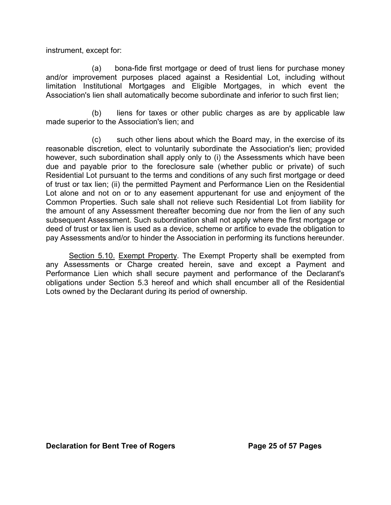instrument, except for:

(a) bona-fide first mortgage or deed of trust liens for purchase money and/or improvement purposes placed against a Residential Lot, including without limitation Institutional Mortgages and Eligible Mortgages, in which event the Association's lien shall automatically become subordinate and inferior to such first lien;

(b) liens for taxes or other public charges as are by applicable law made superior to the Association's lien; and

(c) such other liens about which the Board may, in the exercise of its reasonable discretion, elect to voluntarily subordinate the Association's lien; provided however, such subordination shall apply only to (i) the Assessments which have been due and payable prior to the foreclosure sale (whether public or private) of such Residential Lot pursuant to the terms and conditions of any such first mortgage or deed of trust or tax lien; (ii) the permitted Payment and Performance Lien on the Residential Lot alone and not on or to any easement appurtenant for use and enjoyment of the Common Properties. Such sale shall not relieve such Residential Lot from liability for the amount of any Assessment thereafter becoming due nor from the lien of any such subsequent Assessment. Such subordination shall not apply where the first mortgage or deed of trust or tax lien is used as a device, scheme or artifice to evade the obligation to pay Assessments and/or to hinder the Association in performing its functions hereunder.

Section 5.10. Exempt Property. The Exempt Property shall be exempted from any Assessments or Charge created herein, save and except a Payment and Performance Lien which shall secure payment and performance of the Declarant's obligations under Section 5.3 hereof and which shall encumber all of the Residential Lots owned by the Declarant during its period of ownership.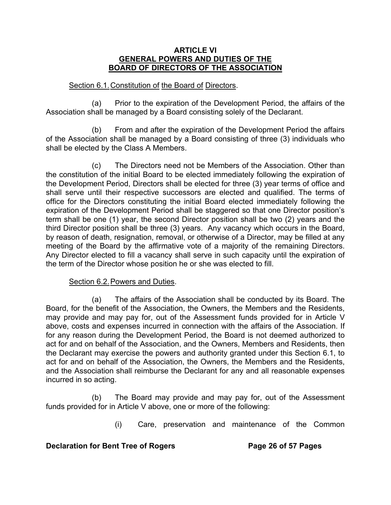#### **ARTICLE VI GENERAL POWERS AND DUTIES OF THE BOARD OF DIRECTORS OF THE ASSOCIATION**

## Section 6.1. Constitution of the Board of Directors.

(a) Prior to the expiration of the Development Period, the affairs of the Association shall be managed by a Board consisting solely of the Declarant.

(b) From and after the expiration of the Development Period the affairs of the Association shall be managed by a Board consisting of three (3) individuals who shall be elected by the Class A Members.

(c) The Directors need not be Members of the Association. Other than the constitution of the initial Board to be elected immediately following the expiration of the Development Period, Directors shall be elected for three (3) year terms of office and shall serve until their respective successors are elected and qualified. The terms of office for the Directors constituting the initial Board elected immediately following the expiration of the Development Period shall be staggered so that one Director position's term shall be one (1) year, the second Director position shall be two (2) years and the third Director position shall be three (3) years. Any vacancy which occurs in the Board, by reason of death, resignation, removal, or otherwise of a Director, may be filled at any meeting of the Board by the affirmative vote of a majority of the remaining Directors. Any Director elected to fill a vacancy shall serve in such capacity until the expiration of the term of the Director whose position he or she was elected to fill.

# Section 6.2. Powers and Duties.

(a) The affairs of the Association shall be conducted by its Board. The Board, for the benefit of the Association, the Owners, the Members and the Residents, may provide and may pay for, out of the Assessment funds provided for in Article V above, costs and expenses incurred in connection with the affairs of the Association. If for any reason during the Development Period, the Board is not deemed authorized to act for and on behalf of the Association, and the Owners, Members and Residents, then the Declarant may exercise the powers and authority granted under this Section 6.1, to act for and on behalf of the Association, the Owners, the Members and the Residents, and the Association shall reimburse the Declarant for any and all reasonable expenses incurred in so acting.

(b) The Board may provide and may pay for, out of the Assessment funds provided for in Article V above, one or more of the following:

(i) Care, preservation and maintenance of the Common

## **Declaration for Bent Tree of Rogers The State 26 of 57 Pages**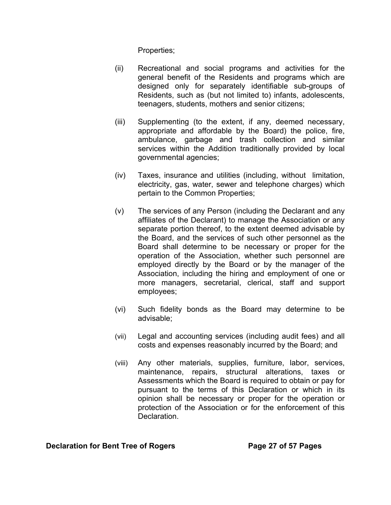Properties;

- (ii) Recreational and social programs and activities for the general benefit of the Residents and programs which are designed only for separately identifiable sub-groups of Residents, such as (but not limited to) infants, adolescents, teenagers, students, mothers and senior citizens;
- (iii) Supplementing (to the extent, if any, deemed necessary, appropriate and affordable by the Board) the police, fire, ambulance, garbage and trash collection and similar services within the Addition traditionally provided by local governmental agencies;
- (iv) Taxes, insurance and utilities (including, without limitation, electricity, gas, water, sewer and telephone charges) which pertain to the Common Properties;
- (v) The services of any Person (including the Declarant and any affiliates of the Declarant) to manage the Association or any separate portion thereof, to the extent deemed advisable by the Board, and the services of such other personnel as the Board shall determine to be necessary or proper for the operation of the Association, whether such personnel are employed directly by the Board or by the manager of the Association, including the hiring and employment of one or more managers, secretarial, clerical, staff and support employees;
- (vi) Such fidelity bonds as the Board may determine to be advisable;
- (vii) Legal and accounting services (including audit fees) and all costs and expenses reasonably incurred by the Board; and
- (viii) Any other materials, supplies, furniture, labor, services, maintenance, repairs, structural alterations, taxes or Assessments which the Board is required to obtain or pay for pursuant to the terms of this Declaration or which in its opinion shall be necessary or proper for the operation or protection of the Association or for the enforcement of this **Declaration**

**Declaration for Bent Tree of Rogers Page 27 of 57 Pages**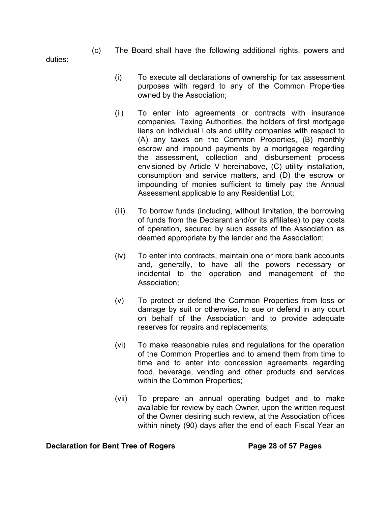(c) The Board shall have the following additional rights, powers and

duties:

- (i) To execute all declarations of ownership for tax assessment purposes with regard to any of the Common Properties owned by the Association;
- (ii) To enter into agreements or contracts with insurance companies, Taxing Authorities, the holders of first mortgage liens on individual Lots and utility companies with respect to (A) any taxes on the Common Properties, (B) monthly escrow and impound payments by a mortgagee regarding the assessment, collection and disbursement process envisioned by Article V hereinabove, (C) utility installation, consumption and service matters, and (D) the escrow or impounding of monies sufficient to timely pay the Annual Assessment applicable to any Residential Lot;
- (iii) To borrow funds (including, without limitation, the borrowing of funds from the Declarant and/or its affiliates) to pay costs of operation, secured by such assets of the Association as deemed appropriate by the lender and the Association;
- (iv) To enter into contracts, maintain one or more bank accounts and, generally, to have all the powers necessary or incidental to the operation and management of the Association;
- (v) To protect or defend the Common Properties from loss or damage by suit or otherwise, to sue or defend in any court on behalf of the Association and to provide adequate reserves for repairs and replacements;
- (vi) To make reasonable rules and regulations for the operation of the Common Properties and to amend them from time to time and to enter into concession agreements regarding food, beverage, vending and other products and services within the Common Properties;
- (vii) To prepare an annual operating budget and to make available for review by each Owner, upon the written request of the Owner desiring such review, at the Association offices within ninety (90) days after the end of each Fiscal Year an

#### **Declaration for Bent Tree of Rogers Page 28 of 57 Pages**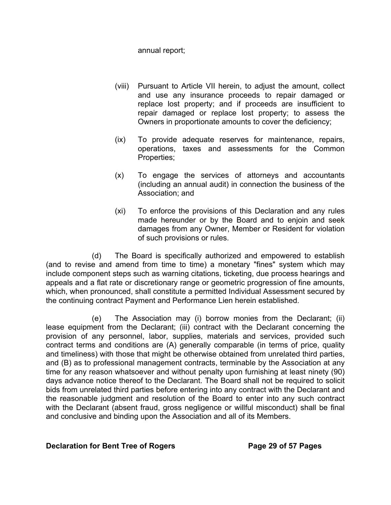annual report;

- (viii) Pursuant to Article VII herein, to adjust the amount, collect and use any insurance proceeds to repair damaged or replace lost property; and if proceeds are insufficient to repair damaged or replace lost property; to assess the Owners in proportionate amounts to cover the deficiency;
- (ix) To provide adequate reserves for maintenance, repairs, operations, taxes and assessments for the Common Properties;
- (x) To engage the services of attorneys and accountants (including an annual audit) in connection the business of the Association; and
- (xi) To enforce the provisions of this Declaration and any rules made hereunder or by the Board and to enjoin and seek damages from any Owner, Member or Resident for violation of such provisions or rules.

 (d) The Board is specifically authorized and empowered to establish (and to revise and amend from time to time) a monetary "fines" system which may include component steps such as warning citations, ticketing, due process hearings and appeals and a flat rate or discretionary range or geometric progression of fine amounts, which, when pronounced, shall constitute a permitted Individual Assessment secured by the continuing contract Payment and Performance Lien herein established.

(e) The Association may (i) borrow monies from the Declarant; (ii) lease equipment from the Declarant; (iii) contract with the Declarant concerning the provision of any personnel, labor, supplies, materials and services, provided such contract terms and conditions are (A) generally comparable (in terms of price, quality and timeliness) with those that might be otherwise obtained from unrelated third parties, and (B) as to professional management contracts, terminable by the Association at any time for any reason whatsoever and without penalty upon furnishing at least ninety (90) days advance notice thereof to the Declarant. The Board shall not be required to solicit bids from unrelated third parties before entering into any contract with the Declarant and the reasonable judgment and resolution of the Board to enter into any such contract with the Declarant (absent fraud, gross negligence or willful misconduct) shall be final and conclusive and binding upon the Association and all of its Members.

## **Declaration for Bent Tree of Rogers Page 29 of 57 Pages**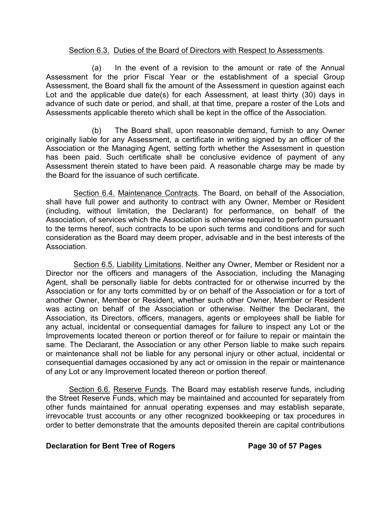## Section 6.3. Duties of the Board of Directors with Respect to Assessments.

(a) In the event of a revision to the amount or rate of the Annual Assessment for the prior Fiscal Year or the establishment of a special Group Assessment, the Board shall fix the amount of the Assessment in question against each Lot and the applicable due date(s) for each Assessment, at least thirty (30) days in advance of such date or period, and shall, at that time, prepare a roster of the Lots and Assessments applicable thereto which shall be kept in the office of the Association.

(b) The Board shall, upon reasonable demand, furnish to any Owner originally liable for any Assessment, a certificate in writing signed by an officer of the Association or the Managing Agent, setting forth whether the Assessment in question has been paid. Such certificate shall be conclusive evidence of payment of any Assessment therein stated to have been paid. A reasonable charge may be made by the Board for the issuance of such certificate.

Section 6.4. Maintenance Contracts. The Board, on behalf of the Association, shall have full power and authority to contract with any Owner, Member or Resident (including, without limitation, the Declarant) for performance, on behalf of the Association, of services which the Association is otherwise required to perform pursuant to the terms hereof, such contracts to be upon such terms and conditions and for such consideration as the Board may deem proper, advisable and in the best interests of the Association.

Section 6.5. Liability Limitations. Neither any Owner, Member or Resident nor a Director nor the officers and managers of the Association, including the Managing Agent, shall be personally liable for debts contracted for or otherwise incurred by the Association or for any torts committed by or on behalf of the Association or for a tort of another Owner, Member or Resident, whether such other Owner, Member or Resident was acting on behalf of the Association or otherwise. Neither the Declarant, the Association, its Directors, officers, managers, agents or employees shall be liable for any actual, incidental or consequential damages for failure to inspect any Lot or the Improvements located thereon or portion thereof or for failure to repair or maintain the same. The Declarant, the Association or any other Person liable to make such repairs or maintenance shall not be liable for any personal injury or other actual, incidental or consequential damages occasioned by any act or omission in the repair or maintenance of any Lot or any Improvement located thereon or portion thereof.

Section 6.6. Reserve Funds. The Board may establish reserve funds, including the Street Reserve Funds, which may be maintained and accounted for separately from other funds maintained for annual operating expenses and may establish separate, irrevocable trust accounts or any other recognized bookkeeping or tax procedures in order to better demonstrate that the amounts deposited therein are capital contributions

## **Declaration for Bent Tree of Rogers Page 30 of 57 Pages**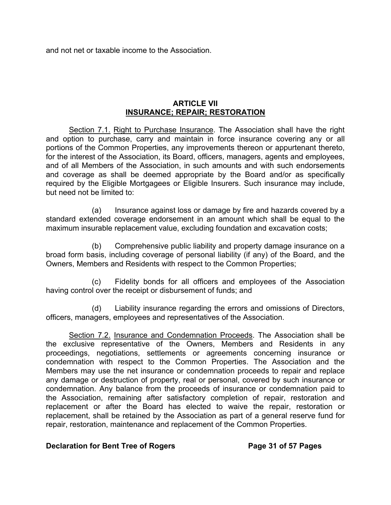and not net or taxable income to the Association.

## **ARTICLE VII INSURANCE; REPAIR; RESTORATION**

Section 7.1. Right to Purchase Insurance. The Association shall have the right and option to purchase, carry and maintain in force insurance covering any or all portions of the Common Properties, any improvements thereon or appurtenant thereto, for the interest of the Association, its Board, officers, managers, agents and employees, and of all Members of the Association, in such amounts and with such endorsements and coverage as shall be deemed appropriate by the Board and/or as specifically required by the Eligible Mortgagees or Eligible Insurers. Such insurance may include, but need not be limited to:

(a) Insurance against loss or damage by fire and hazards covered by a standard extended coverage endorsement in an amount which shall be equal to the maximum insurable replacement value, excluding foundation and excavation costs;

(b) Comprehensive public liability and property damage insurance on a broad form basis, including coverage of personal liability (if any) of the Board, and the Owners, Members and Residents with respect to the Common Properties;

(c) Fidelity bonds for all officers and employees of the Association having control over the receipt or disbursement of funds; and

(d) Liability insurance regarding the errors and omissions of Directors, officers, managers, employees and representatives of the Association.

Section 7.2. Insurance and Condemnation Proceeds. The Association shall be the exclusive representative of the Owners, Members and Residents in any proceedings, negotiations, settlements or agreements concerning insurance or condemnation with respect to the Common Properties. The Association and the Members may use the net insurance or condemnation proceeds to repair and replace any damage or destruction of property, real or personal, covered by such insurance or condemnation. Any balance from the proceeds of insurance or condemnation paid to the Association, remaining after satisfactory completion of repair, restoration and replacement or after the Board has elected to waive the repair, restoration or replacement, shall be retained by the Association as part of a general reserve fund for repair, restoration, maintenance and replacement of the Common Properties.

# **Declaration for Bent Tree of Rogers Page 31 of 57 Pages**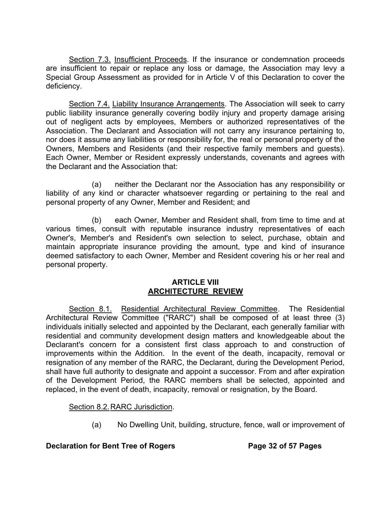Section 7.3. Insufficient Proceeds. If the insurance or condemnation proceeds are insufficient to repair or replace any loss or damage, the Association may levy a Special Group Assessment as provided for in Article V of this Declaration to cover the deficiency.

Section 7.4. Liability Insurance Arrangements. The Association will seek to carry public liability insurance generally covering bodily injury and property damage arising out of negligent acts by employees, Members or authorized representatives of the Association. The Declarant and Association will not carry any insurance pertaining to, nor does it assume any liabilities or responsibility for, the real or personal property of the Owners, Members and Residents (and their respective family members and guests). Each Owner, Member or Resident expressly understands, covenants and agrees with the Declarant and the Association that:

(a) neither the Declarant nor the Association has any responsibility or liability of any kind or character whatsoever regarding or pertaining to the real and personal property of any Owner, Member and Resident; and

(b) each Owner, Member and Resident shall, from time to time and at various times, consult with reputable insurance industry representatives of each Owner's, Member's and Resident's own selection to select, purchase, obtain and maintain appropriate insurance providing the amount, type and kind of insurance deemed satisfactory to each Owner, Member and Resident covering his or her real and personal property.

## **ARTICLE VIII ARCHITECTURE REVIEW**

Section 8.1. Residential Architectural Review Committee. The Residential Architectural Review Committee ("RARC") shall be composed of at least three (3) individuals initially selected and appointed by the Declarant, each generally familiar with residential and community development design matters and knowledgeable about the Declarant's concern for a consistent first class approach to and construction of improvements within the Addition. In the event of the death, incapacity, removal or resignation of any member of the RARC, the Declarant, during the Development Period, shall have full authority to designate and appoint a successor. From and after expiration of the Development Period, the RARC members shall be selected, appointed and replaced, in the event of death, incapacity, removal or resignation, by the Board.

# Section 8.2. RARC Jurisdiction.

(a) No Dwelling Unit, building, structure, fence, wall or improvement of

# **Declaration for Bent Tree of Rogers <b>Page 32 of 57 Pages**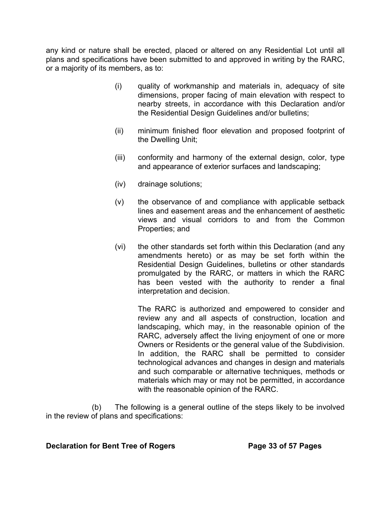any kind or nature shall be erected, placed or altered on any Residential Lot until all plans and specifications have been submitted to and approved in writing by the RARC, or a majority of its members, as to:

- (i) quality of workmanship and materials in, adequacy of site dimensions, proper facing of main elevation with respect to nearby streets, in accordance with this Declaration and/or the Residential Design Guidelines and/or bulletins;
- (ii) minimum finished floor elevation and proposed footprint of the Dwelling Unit;
- (iii) conformity and harmony of the external design, color, type and appearance of exterior surfaces and landscaping;
- (iv) drainage solutions;
- (v) the observance of and compliance with applicable setback lines and easement areas and the enhancement of aesthetic views and visual corridors to and from the Common Properties; and
- (vi) the other standards set forth within this Declaration (and any amendments hereto) or as may be set forth within the Residential Design Guidelines, bulletins or other standards promulgated by the RARC, or matters in which the RARC has been vested with the authority to render a final interpretation and decision.

The RARC is authorized and empowered to consider and review any and all aspects of construction, location and landscaping, which may, in the reasonable opinion of the RARC, adversely affect the living enjoyment of one or more Owners or Residents or the general value of the Subdivision. In addition, the RARC shall be permitted to consider technological advances and changes in design and materials and such comparable or alternative techniques, methods or materials which may or may not be permitted, in accordance with the reasonable opinion of the RARC.

(b) The following is a general outline of the steps likely to be involved in the review of plans and specifications:

#### **Declaration for Bent Tree of Rogers Page 33 of 57 Pages**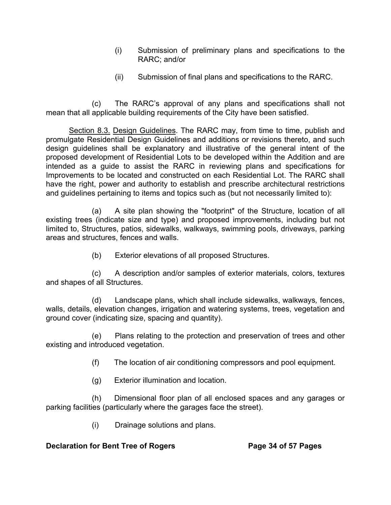- (i) Submission of preliminary plans and specifications to the RARC; and/or
- (ii) Submission of final plans and specifications to the RARC.

(c) The RARC's approval of any plans and specifications shall not mean that all applicable building requirements of the City have been satisfied.

Section 8.3. Design Guidelines. The RARC may, from time to time, publish and promulgate Residential Design Guidelines and additions or revisions thereto, and such design guidelines shall be explanatory and illustrative of the general intent of the proposed development of Residential Lots to be developed within the Addition and are intended as a guide to assist the RARC in reviewing plans and specifications for Improvements to be located and constructed on each Residential Lot. The RARC shall have the right, power and authority to establish and prescribe architectural restrictions and guidelines pertaining to items and topics such as (but not necessarily limited to):

(a) A site plan showing the "footprint" of the Structure, location of all existing trees (indicate size and type) and proposed improvements, including but not limited to, Structures, patios, sidewalks, walkways, swimming pools, driveways, parking areas and structures, fences and walls.

(b) Exterior elevations of all proposed Structures.

(c) A description and/or samples of exterior materials, colors, textures and shapes of all Structures.

(d) Landscape plans, which shall include sidewalks, walkways*,* fences, walls, details, elevation changes, irrigation and watering systems, trees, vegetation and ground cover (indicating size, spacing and quantity).

(e) Plans relating to the protection and preservation of trees and other existing and introduced vegetation.

- (f) The location of air conditioning compressors and pool equipment.
- (g) Exterior illumination and location.

(h) Dimensional floor plan of all enclosed spaces and any garages or parking facilities (particularly where the garages face the street).

(i) Drainage solutions and plans.

# **Declaration for Bent Tree of Rogers Page 34 of 57 Pages**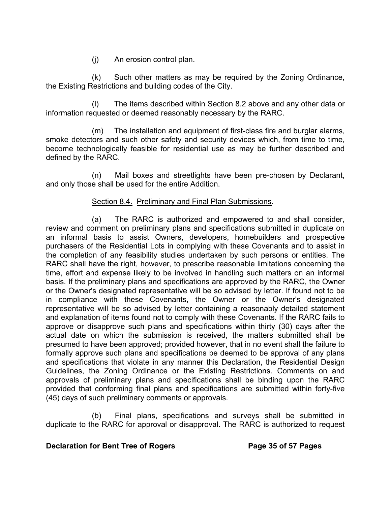(j) An erosion control plan.

(k) Such other matters as may be required by the Zoning Ordinance, the Existing Restrictions and building codes of the City.

The items described within Section 8.2 above and any other data or information requested or deemed reasonably necessary by the RARC.

(m) The installation and equipment of first-class fire and burglar alarms, smoke detectors and such other safety and security devices which, from time to time, become technologically feasible for residential use as may be further described and defined by the RARC.

(n) Mail boxes and streetlights have been pre-chosen by Declarant, and only those shall be used for the entire Addition.

## Section 8.4. Preliminary and Final Plan Submissions.

(a) The RARC is authorized and empowered to and shall consider, review and comment on preliminary plans and specifications submitted in duplicate on an informal basis to assist Owners, developers, homebuilders and prospective purchasers of the Residential Lots in complying with these Covenants and to assist in the completion of any feasibility studies undertaken by such persons or entities. The RARC shall have the right, however, to prescribe reasonable limitations concerning the time, effort and expense likely to be involved in handling such matters on an informal basis. If the preliminary plans and specifications are approved by the RARC, the Owner or the Owner's designated representative will be so advised by letter. If found not to be in compliance with these Covenants, the Owner or the Owner's designated representative will be so advised by letter containing a reasonably detailed statement and explanation of items found not to comply with these Covenants. If the RARC fails to approve or disapprove such plans and specifications within thirty (30) days after the actual date on which the submission is received, the matters submitted shall be presumed to have been approved; provided however, that in no event shall the failure to formally approve such plans and specifications be deemed to be approval of any plans and specifications that violate in any manner this Declaration, the Residential Design Guidelines, the Zoning Ordinance or the Existing Restrictions. Comments on and approvals of preliminary plans and specifications shall be binding upon the RARC provided that conforming final plans and specifications are submitted within forty-five (45) days of such preliminary comments or approvals.

(b) Final plans, specifications and surveys shall be submitted in duplicate to the RARC for approval or disapproval. The RARC is authorized to request

## **Declaration for Bent Tree of Rogers The State Search Page 35 of 57 Pages**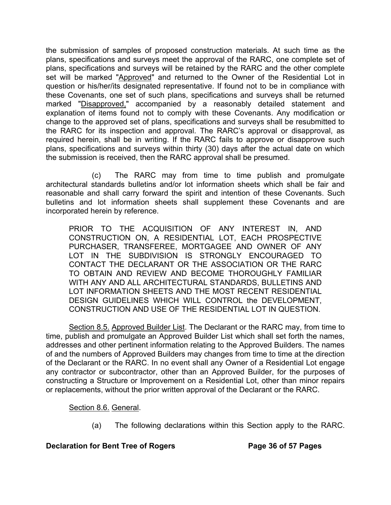the submission of samples of proposed construction materials. At such time as the plans, specifications and surveys meet the approval of the RARC, one complete set of plans, specifications and surveys will be retained by the RARC and the other complete set will be marked "Approved" and returned to the Owner of the Residential Lot in question or his/her/its designated representative. If found not to be in compliance with these Covenants, one set of such plans, specifications and surveys shall be returned marked "Disapproved," accompanied by a reasonably detailed statement and explanation of items found not to comply with these Covenants. Any modification or change to the approved set of plans, specifications and surveys shall be resubmitted to the RARC for its inspection and approval. The RARC's approval or disapproval, as required herein, shall be in writing. If the RARC fails to approve or disapprove such plans, specifications and surveys within thirty (30) days after the actual date on which the submission is received, then the RARC approval shall be presumed.

(c) The RARC may from time to time publish and promulgate architectural standards bulletins and/or lot information sheets which shall be fair and reasonable and shall carry forward the spirit and intention of these Covenants. Such bulletins and lot information sheets shall supplement these Covenants and are incorporated herein by reference.

PRIOR TO THE ACQUISITION OF ANY INTEREST IN, AND CONSTRUCTION ON, A RESIDENTIAL LOT, EACH PROSPECTIVE PURCHASER, TRANSFEREE, MORTGAGEE AND OWNER OF ANY LOT IN THE SUBDIVISION IS STRONGLY ENCOURAGED TO CONTACT THE DECLARANT OR THE ASSOCIATION OR THE RARC TO OBTAIN AND REVIEW AND BECOME THOROUGHLY FAMILIAR WITH ANY AND ALL ARCHITECTURAL STANDARDS, BULLETINS AND LOT INFORMATION SHEETS AND THE MOST RECENT RESIDENTIAL DESIGN GUIDELINES WHICH WILL CONTROL the DEVELOPMENT, CONSTRUCTION AND USE OF THE RESIDENTIAL LOT IN QUESTION.

Section 8.5. Approved Builder List. The Declarant or the RARC may, from time to time, publish and promulgate an Approved Builder List which shall set forth the names, addresses and other pertinent information relating to the Approved Builders. The names of and the numbers of Approved Builders may changes from time to time at the direction of the Declarant or the RARC. In no event shall any Owner of a Residential Lot engage any contractor or subcontractor, other than an Approved Builder, for the purposes of constructing a Structure or Improvement on a Residential Lot, other than minor repairs or replacements, without the prior written approval of the Declarant or the RARC.

Section 8.6. General.

(a) The following declarations within this Section apply to the RARC.

# **Declaration for Bent Tree of Rogers Page 36 of 57 Pages**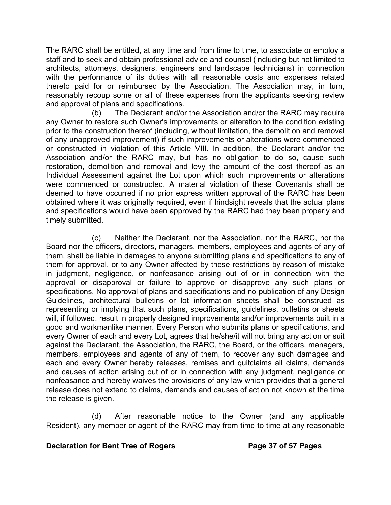The RARC shall be entitled, at any time and from time to time, to associate or employ a staff and to seek and obtain professional advice and counsel (including but not limited to architects, attorneys, designers, engineers and landscape technicians) in connection with the performance of its duties with all reasonable costs and expenses related thereto paid for or reimbursed by the Association. The Association may, in turn, reasonably recoup some or all of these expenses from the applicants seeking review and approval of plans and specifications.

(b) The Declarant and/or the Association and/or the RARC may require any Owner to restore such Owner's improvements or alteration to the condition existing prior to the construction thereof (including, without limitation, the demolition and removal of any unapproved improvement) if such improvements or alterations were commenced or constructed in violation of this Article VIII. In addition, the Declarant and/or the Association and/or the RARC may, but has no obligation to do so, cause such restoration, demolition and removal and levy the amount of the cost thereof as an Individual Assessment against the Lot upon which such improvements or alterations were commenced or constructed. A material violation of these Covenants shall be deemed to have occurred if no prior express written approval of the RARC has been obtained where it was originally required, even if hindsight reveals that the actual plans and specifications would have been approved by the RARC had they been properly and timely submitted.

(c) Neither the Declarant, nor the Association, nor the RARC, nor the Board nor the officers, directors, managers, members, employees and agents of any of them, shall be liable in damages to anyone submitting plans and specifications to any of them for approval, or to any Owner affected by these restrictions by reason of mistake in judgment, negligence, or nonfeasance arising out of or in connection with the approval or disapproval or failure to approve or disapprove any such plans or specifications. No approval of plans and specifications and no publication of any Design Guidelines, architectural bulletins or lot information sheets shall be construed as representing or implying that such plans, specifications, guidelines, bulletins or sheets will, if followed, result in properly designed improvements and/or improvements built in a good and workmanlike manner. Every Person who submits plans or specifications, and every Owner of each and every Lot, agrees that he/she/it will not bring any action or suit against the Declarant, the Association, the RARC, the Board, or the officers, managers, members, employees and agents of any of them, to recover any such damages and each and every Owner hereby releases, remises and quitclaims all claims, demands and causes of action arising out of or in connection with any judgment, negligence or nonfeasance and hereby waives the provisions of any law which provides that a general release does not extend to claims, demands and causes of action not known at the time the release is given.

(d) After reasonable notice to the Owner (and any applicable Resident), any member or agent of the RARC may from time to time at any reasonable

## **Declaration for Bent Tree of Rogers Page 37 of 57 Pages**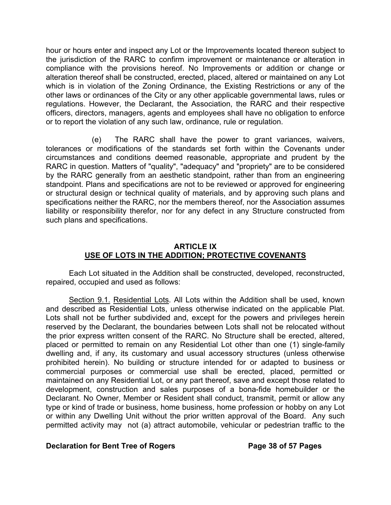hour or hours enter and inspect any Lot or the Improvements located thereon subject to the jurisdiction of the RARC to confirm improvement or maintenance or alteration in compliance with the provisions hereof. No Improvements or addition or change or alteration thereof shall be constructed, erected, placed, altered or maintained on any Lot which is in violation of the Zoning Ordinance, the Existing Restrictions or any of the other laws or ordinances of the City or any other applicable governmental laws, rules or regulations. However, the Declarant, the Association, the RARC and their respective officers, directors, managers, agents and employees shall have no obligation to enforce or to report the violation of any such law, ordinance, rule or regulation.

(e) The RARC shall have the power to grant variances, waivers, tolerances or modifications of the standards set forth within the Covenants under circumstances and conditions deemed reasonable, appropriate and prudent by the RARC in question. Matters of "quality", "adequacy" and "propriety" are to be considered by the RARC generally from an aesthetic standpoint, rather than from an engineering standpoint. Plans and specifications are not to be reviewed or approved for engineering or structural design or technical quality of materials, and by approving such plans and specifications neither the RARC, nor the members thereof, nor the Association assumes liability or responsibility therefor, nor for any defect in any Structure constructed from such plans and specifications.

## **ARTICLE IX USE OF LOTS IN THE ADDITION; PROTECTIVE COVENANTS**

Each Lot situated in the Addition shall be constructed, developed, reconstructed, repaired, occupied and used as follows:

Section 9.1. Residential Lots. All Lots within the Addition shall be used, known and described as Residential Lots, unless otherwise indicated on the applicable Plat. Lots shall not be further subdivided and, except for the powers and privileges herein reserved by the Declarant, the boundaries between Lots shall not be relocated without the prior express written consent of the RARC. No Structure shall be erected, altered, placed or permitted to remain on any Residential Lot other than one (1) single-family dwelling and, if any, its customary and usual accessory structures (unless otherwise prohibited herein). No building or structure intended for or adapted to business or commercial purposes or commercial use shall be erected, placed, permitted or maintained on any Residential Lot, or any part thereof, save and except those related to development, construction and sales purposes of a bona-fide homebuilder or the Declarant. No Owner, Member or Resident shall conduct, transmit, permit or allow any type or kind of trade or business, home business, home profession or hobby on any Lot or within any Dwelling Unit without the prior written approval of the Board. Any such permitted activity may not (a) attract automobile, vehicular or pedestrian traffic to the

## **Declaration for Bent Tree of Rogers Page 38 of 57 Pages**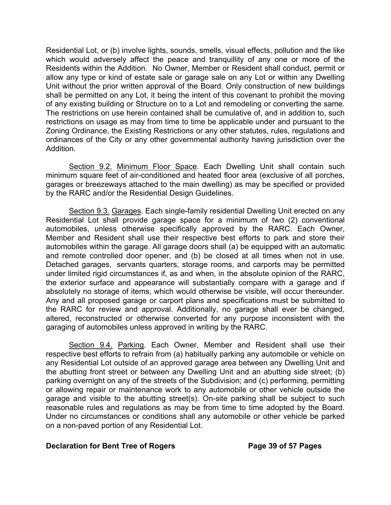Residential Lot, or (b) involve lights, sounds, smells, visual effects, pollution and the like which would adversely affect the peace and tranquillity of any one or more of the Residents within the Addition. No Owner, Member or Resident shall conduct, permit or allow any type or kind of estate sale or garage sale on any Lot or within any Dwelling Unit without the prior written approval of the Board. Only construction of new buildings shall be permitted on any Lot, it being the intent of this covenant to prohibit the moving of any existing building or Structure on to a Lot and remodeling or converting the same. The restrictions on use herein contained shall be cumulative of, and in addition to, such restrictions on usage as may from time to time be applicable under and pursuant to the Zoning Ordinance, the Existing Restrictions or any other statutes, rules, regulations and ordinances of the City or any other governmental authority having jurisdiction over the Addition.

Section 9.2. Minimum Floor Space. Each Dwelling Unit shall contain such minimum square feet of air-conditioned and heated floor area (exclusive of all porches, garages or breezeways attached to the main dwelling) as may be specified or provided by the RARC and/or the Residential Design Guidelines.

Section 9.3. Garages. Each single-family residential Dwelling Unit erected on any Residential Lot shall provide garage space for a minimum of two (2) conventional automobiles, unless otherwise specifically approved by the RARC. Each Owner, Member and Resident shall use their respective best efforts to park and store their automobiles within the garage. All garage doors shall (a) be equipped with an automatic and remote controlled door opener, and (b) be closed at all times when not in use. Detached garages, servants quarters, storage rooms, and carports may be permitted under limited rigid circumstances if, as and when, in the absolute opinion of the RARC, the exterior surface and appearance will substantially compare with a garage and if absolutely no storage of items, which would otherwise be visible, will occur thereunder. Any and all proposed garage or carport plans and specifications must be submitted to the RARC for review and approval. Additionally, no garage shall ever be changed, altered, reconstructed or otherwise converted for any purpose inconsistent with the garaging of automobiles unless approved in writing by the RARC.

Section 9.4. Parking. Each Owner, Member and Resident shall use their respective best efforts to refrain from (a) habitually parking any automobile or vehicle on any Residential Lot outside of an approved garage area between any Dwelling Unit and the abutting front street or between any Dwelling Unit and an abutting side street; (b) parking overnight on any of the streets of the Subdivision; and (c) performing, permitting or allowing repair or maintenance work to any automobile or other vehicle outside the garage and visible to the abutting street(s). On-site parking shall be subject to such reasonable rules and regulations as may be from time to time adopted by the Board. Under no circumstances or conditions shall any automobile or other vehicle be parked on a non-paved portion of any Residential Lot.

## **Declaration for Bent Tree of Rogers Page 39 of 57 Pages**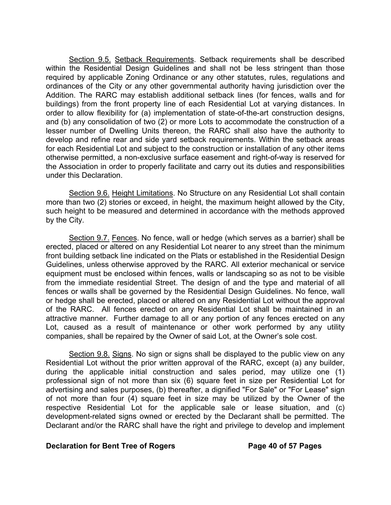Section 9.5. Setback Requirements. Setback requirements shall be described within the Residential Design Guidelines and shall not be less stringent than those required by applicable Zoning Ordinance or any other statutes, rules, regulations and ordinances of the City or any other governmental authority having jurisdiction over the Addition. The RARC may establish additional setback lines (for fences, walls and for buildings) from the front property line of each Residential Lot at varying distances. In order to allow flexibility for (a) implementation of state-of-the-art construction designs, and (b) any consolidation of two (2) or more Lots to accommodate the construction of a lesser number of Dwelling Units thereon, the RARC shall also have the authority to develop and refine rear and side yard setback requirements. Within the setback areas for each Residential Lot and subject to the construction or installation of any other items otherwise permitted, a non-exclusive surface easement and right-of-way is reserved for the Association in order to properly facilitate and carry out its duties and responsibilities under this Declaration.

Section 9.6. Height Limitations. No Structure on any Residential Lot shall contain more than two (2) stories or exceed, in height, the maximum height allowed by the City, such height to be measured and determined in accordance with the methods approved by the City.

Section 9.7. Fences. No fence, wall or hedge (which serves as a barrier) shall be erected, placed or altered on any Residential Lot nearer to any street than the minimum front building setback line indicated on the Plats or established in the Residential Design Guidelines, unless otherwise approved by the RARC. All exterior mechanical or service equipment must be enclosed within fences, walls or landscaping so as not to be visible from the immediate residential Street. The design of and the type and material of all fences or walls shall be governed by the Residential Design Guidelines. No fence, wall or hedge shall be erected, placed or altered on any Residential Lot without the approval of the RARC. All fences erected on any Residential Lot shall be maintained in an attractive manner. Further damage to all or any portion of any fences erected on any Lot, caused as a result of maintenance or other work performed by any utility companies, shall be repaired by the Owner of said Lot, at the Owner's sole cost.

Section 9.8. Signs. No sign or signs shall be displayed to the public view on any Residential Lot without the prior written approval of the RARC, except (a) any builder, during the applicable initial construction and sales period, may utilize one (1) professional sign of not more than six (6) square feet in size per Residential Lot for advertising and sales purposes, (b) thereafter, a dignified "For Sale" or "For Lease" sign of not more than four (4) square feet in size may be utilized by the Owner of the respective Residential Lot for the applicable sale or lease situation, and (c) development-related signs owned or erected by the Declarant shall be permitted. The Declarant and/or the RARC shall have the right and privilege to develop and implement

#### **Declaration for Bent Tree of Rogers Page 40 of 57 Pages**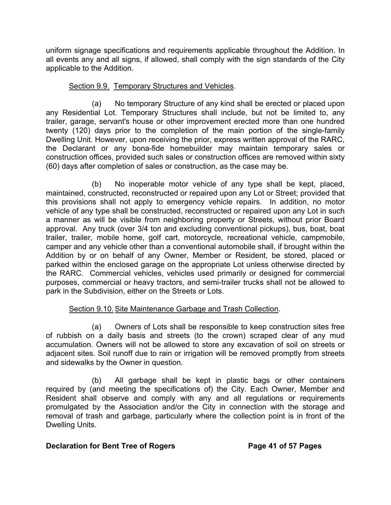uniform signage specifications and requirements applicable throughout the Addition. In all events any and all signs, if allowed, shall comply with the sign standards of the City applicable to the Addition.

# Section 9.9. Temporary Structures and Vehicles.

(a) No temporary Structure of any kind shall be erected or placed upon any Residential Lot. Temporary Structures shall include, but not be limited to, any trailer, garage, servant's house or other improvement erected more than one hundred twenty (120) days prior to the completion of the main portion of the single-family Dwelling Unit. However, upon receiving the prior, express written approval of the RARC, the Declarant or any bona-fide homebuilder may maintain temporary sales or construction offices, provided such sales or construction offices are removed within sixty (60) days after completion of sales or construction, as the case may be.

(b) No inoperable motor vehicle of any type shall be kept, placed, maintained, constructed, reconstructed or repaired upon any Lot or Street; provided that this provisions shall not apply to emergency vehicle repairs. In addition, no motor vehicle of any type shall be constructed, reconstructed or repaired upon any Lot in such a manner as will be visible from neighboring property or Streets, without prior Board approval. Any truck (over 3/4 ton and excluding conventional pickups), bus, boat, boat trailer, trailer, mobile home, golf cart, motorcycle, recreational vehicle, campmobile, camper and any vehicle other than a conventional automobile shall, if brought within the Addition by or on behalf of any Owner, Member or Resident, be stored, placed or parked within the enclosed garage on the appropriate Lot unless otherwise directed by the RARC. Commercial vehicles, vehicles used primarily or designed for commercial purposes, commercial or heavy tractors, and semi-trailer trucks shall not be allowed to park in the Subdivision, either on the Streets or Lots.

# Section 9.10. Site Maintenance Garbage and Trash Collection.

(a) Owners of Lots shall be responsible to keep construction sites free of rubbish on a daily basis and streets (to the crown) scraped clear of any mud accumulation. Owners will not be allowed to store any excavation of soil on streets or adjacent sites. Soil runoff due to rain or irrigation will be removed promptly from streets and sidewalks by the Owner in question.

(b) All garbage shall be kept in plastic bags or other containers required by (and meeting the specifications of) the City. Each Owner, Member and Resident shall observe and comply with any and all regulations or requirements promulgated by the Association and/or the City in connection with the storage and removal of trash and garbage, particularly where the collection point is in front of the Dwelling Units.

# **Declaration for Bent Tree of Rogers Page 41 of 57 Pages**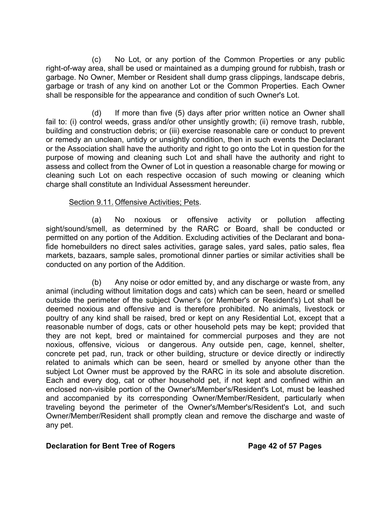(c) No Lot, or any portion of the Common Properties or any public right-of-way area, shall be used or maintained as a dumping ground for rubbish, trash or garbage. No Owner, Member or Resident shall dump grass clippings, landscape debris, garbage or trash of any kind on another Lot or the Common Properties. Each Owner shall be responsible for the appearance and condition of such Owner's Lot.

(d) If more than five (5) days after prior written notice an Owner shall fail to: (i) control weeds, grass and/or other unsightly growth; (ii) remove trash, rubble, building and construction debris; or (iii) exercise reasonable care or conduct to prevent or remedy an unclean, untidy or unsightly condition, then in such events the Declarant or the Association shall have the authority and right to go onto the Lot in question for the purpose of mowing and cleaning such Lot and shall have the authority and right to assess and collect from the Owner of Lot in question a reasonable charge for mowing or cleaning such Lot on each respective occasion of such mowing or cleaning which charge shall constitute an Individual Assessment hereunder.

## Section 9.11. Offensive Activities; Pets.

(a) No noxious or offensive activity or pollution affecting sight/sound/smell, as determined by the RARC or Board, shall be conducted or permitted on any portion of the Addition. Excluding activities of the Declarant and bonafide homebuilders no direct sales activities, garage sales, yard sales, patio sales, flea markets, bazaars, sample sales, promotional dinner parties or similar activities shall be conducted on any portion of the Addition.

 (b) Any noise or odor emitted by, and any discharge or waste from, any animal (including without limitation dogs and cats) which can be seen, heard or smelled outside the perimeter of the subject Owner's (or Member's or Resident's) Lot shall be deemed noxious and offensive and is therefore prohibited. No animals, livestock or poultry of any kind shall be raised, bred or kept on any Residential Lot, except that a reasonable number of dogs, cats or other household pets may be kept; provided that they are not kept, bred or maintained for commercial purposes and they are not noxious, offensive, vicious or dangerous. Any outside pen, cage, kennel, shelter, concrete pet pad, run, track or other building, structure or device directly or indirectly related to animals which can be seen, heard or smelled by anyone other than the subject Lot Owner must be approved by the RARC in its sole and absolute discretion. Each and every dog, cat or other household pet, if not kept and confined within an enclosed non-visible portion of the Owner's/Member's/Resident's Lot, must be leashed and accompanied by its corresponding Owner/Member/Resident, particularly when traveling beyond the perimeter of the Owner's/Member's/Resident's Lot, and such Owner/Member/Resident shall promptly clean and remove the discharge and waste of any pet.

## **Declaration for Bent Tree of Rogers Page 42 of 57 Pages**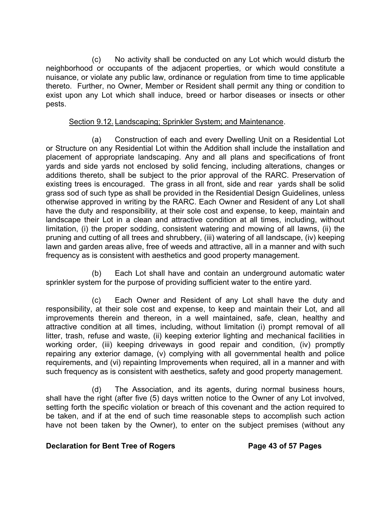(c) No activity shall be conducted on any Lot which would disturb the neighborhood or occupants of the adjacent properties, or which would constitute a nuisance, or violate any public law, ordinance or regulation from time to time applicable thereto. Further, no Owner, Member or Resident shall permit any thing or condition to exist upon any Lot which shall induce, breed or harbor diseases or insects or other pests.

## Section 9.12. Landscaping; Sprinkler System; and Maintenance.

(a) Construction of each and every Dwelling Unit on a Residential Lot or Structure on any Residential Lot within the Addition shall include the installation and placement of appropriate landscaping. Any and all plans and specifications of front yards and side yards not enclosed by solid fencing, including alterations, changes or additions thereto, shall be subject to the prior approval of the RARC. Preservation of existing trees is encouraged. The grass in all front, side and rear yards shall be solid grass sod of such type as shall be provided in the Residential Design Guidelines, unless otherwise approved in writing by the RARC. Each Owner and Resident of any Lot shall have the duty and responsibility, at their sole cost and expense, to keep, maintain and landscape their Lot in a clean and attractive condition at all times, including, without limitation, (i) the proper sodding, consistent watering and mowing of all lawns, (ii) the pruning and cutting of all trees and shrubbery, (iii) watering of all landscape, (iv) keeping lawn and garden areas alive, free of weeds and attractive, all in a manner and with such frequency as is consistent with aesthetics and good property management.

(b) Each Lot shall have and contain an underground automatic water sprinkler system for the purpose of providing sufficient water to the entire yard.

(c) Each Owner and Resident of any Lot shall have the duty and responsibility, at their sole cost and expense, to keep and maintain their Lot, and all improvements therein and thereon, in a well maintained, safe, clean, healthy and attractive condition at all times, including, without limitation (i) prompt removal of all litter, trash, refuse and waste, (ii) keeping exterior lighting and mechanical facilities in working order, (iii) keeping driveways in good repair and condition, (iv) promptly repairing any exterior damage, (v) complying with all governmental health and police requirements, and (vi) repainting Improvements when required, all in a manner and with such frequency as is consistent with aesthetics, safety and good property management.

(d) The Association, and its agents, during normal business hours, shall have the right (after five (5) days written notice to the Owner of any Lot involved, setting forth the specific violation or breach of this covenant and the action required to be taken, and if at the end of such time reasonable steps to accomplish such action have not been taken by the Owner), to enter on the subject premises (without any

## **Declaration for Bent Tree of Rogers Page 43 of 57 Pages**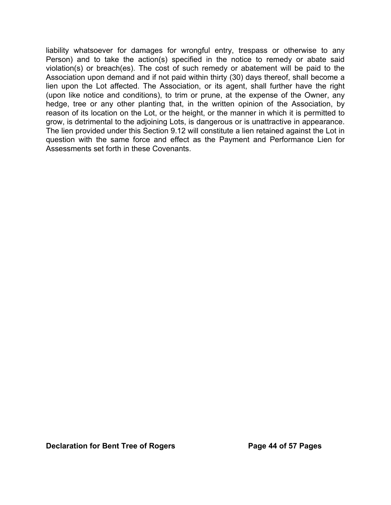liability whatsoever for damages for wrongful entry, trespass or otherwise to any Person) and to take the action(s) specified in the notice to remedy or abate said violation(s) or breach(es). The cost of such remedy or abatement will be paid to the Association upon demand and if not paid within thirty (30) days thereof, shall become a lien upon the Lot affected. The Association, or its agent, shall further have the right (upon like notice and conditions), to trim or prune, at the expense of the Owner, any hedge, tree or any other planting that, in the written opinion of the Association, by reason of its location on the Lot, or the height, or the manner in which it is permitted to grow, is detrimental to the adjoining Lots, is dangerous or is unattractive in appearance. The lien provided under this Section 9.12 will constitute a lien retained against the Lot in question with the same force and effect as the Payment and Performance Lien for Assessments set forth in these Covenants.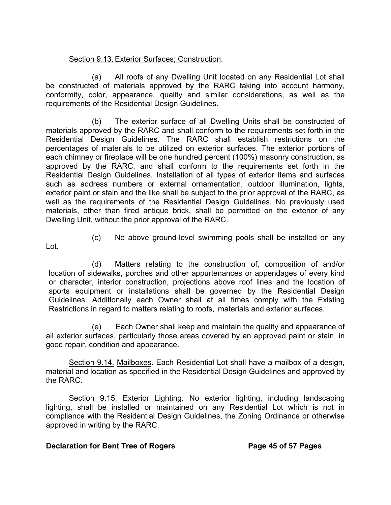# Section 9.13. Exterior Surfaces; Construction.

(a) All roofs of any Dwelling Unit located on any Residential Lot shall be constructed of materials approved by the RARC taking into account harmony, conformity, color, appearance, quality and similar considerations, as well as the requirements of the Residential Design Guidelines.

(b) The exterior surface of all Dwelling Units shall be constructed of materials approved by the RARC and shall conform to the requirements set forth in the Residential Design Guidelines. The RARC shall establish restrictions on the percentages of materials to be utilized on exterior surfaces. The exterior portions of each chimney or fireplace will be one hundred percent (100%) masonry construction, as approved by the RARC, and shall conform to the requirements set forth in the Residential Design Guidelines. Installation of all types of exterior items and surfaces such as address numbers or external ornamentation, outdoor illumination, lights, exterior paint or stain and the like shall be subject to the prior approval of the RARC, as well as the requirements of the Residential Design Guidelines. No previously used materials, other than fired antique brick, shall be permitted on the exterior of any Dwelling Unit, without the prior approval of the RARC.

- Lot.
- (c) No above ground-level swimming pools shall be installed on any

(d) Matters relating to the construction of, composition of and/or location of sidewalks, porches and other appurtenances or appendages of every kind or character, interior construction, projections above roof lines and the location of sports equipment or installations shall be governed by the Residential Design Guidelines. Additionally each Owner shall at all times comply with the Existing Restrictions in regard to matters relating to roofs, materials and exterior surfaces.

(e) Each Owner shall keep and maintain the quality and appearance of all exterior surfaces, particularly those areas covered by an approved paint or stain, in good repair, condition and appearance.

Section 9.14. Mailboxes. Each Residential Lot shall have a mailbox of a design, material and location as specified in the Residential Design Guidelines and approved by the RARC.

Section 9.15. Exterior Lighting. No exterior lighting, including landscaping lighting, shall be installed or maintained on any Residential Lot which is not in compliance with the Residential Design Guidelines, the Zoning Ordinance or otherwise approved in writing by the RARC.

## **Declaration for Bent Tree of Rogers The State Page 45 of 57 Pages**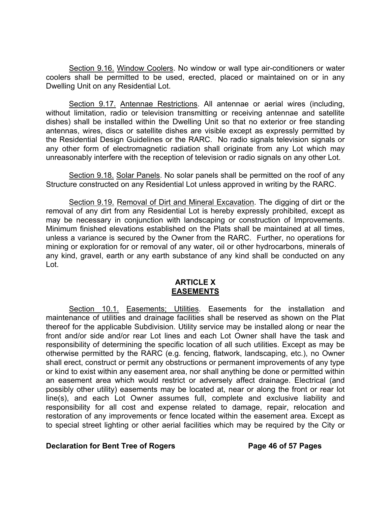Section 9.16. Window Coolers. No window or wall type air-conditioners or water coolers shall be permitted to be used, erected, placed or maintained on or in any Dwelling Unit on any Residential Lot.

Section 9.17. Antennae Restrictions. All antennae or aerial wires (including, without limitation, radio or television transmitting or receiving antennae and satellite dishes) shall be installed within the Dwelling Unit so that no exterior or free standing antennas, wires, discs or satellite dishes are visible except as expressly permitted by the Residential Design Guidelines or the RARC. No radio signals television signals or any other form of electromagnetic radiation shall originate from any Lot which may unreasonably interfere with the reception of television or radio signals on any other Lot.

Section 9.18. Solar Panels. No solar panels shall be permitted on the roof of any Structure constructed on any Residential Lot unless approved in writing by the RARC.

Section 9.19. Removal of Dirt and Mineral Excavation. The digging of dirt or the removal of any dirt from any Residential Lot is hereby expressly prohibited, except as may be necessary in conjunction with landscaping or construction of Improvements. Minimum finished elevations established on the Plats shall be maintained at all times, unless a variance is secured by the Owner from the RARC. Further, no operations for mining or exploration for or removal of any water, oil or other hydrocarbons, minerals of any kind, gravel, earth or any earth substance of any kind shall be conducted on any Lot.

#### **ARTICLE X EASEMENTS**

Section 10.1. Easements; Utilities. Easements for the installation and maintenance of utilities and drainage facilities shall be reserved as shown on the Plat thereof for the applicable Subdivision. Utility service may be installed along or near the front and/or side and/or rear Lot lines and each Lot Owner shall have the task and responsibility of determining the specific location of all such utilities. Except as may be otherwise permitted by the RARC (e.g. fencing, flatwork, landscaping, etc.), no Owner shall erect, construct or permit any obstructions or permanent improvements of any type or kind to exist within any easement area, nor shall anything be done or permitted within an easement area which would restrict or adversely affect drainage. Electrical (and possibly other utility) easements may be located at, near or along the front or rear lot line(s), and each Lot Owner assumes full, complete and exclusive liability and responsibility for all cost and expense related to damage, repair, relocation and restoration of any improvements or fence located within the easement area. Except as to special street lighting or other aerial facilities which may be required by the City or

## **Declaration for Bent Tree of Rogers The State 20 Page 46 of 57 Pages**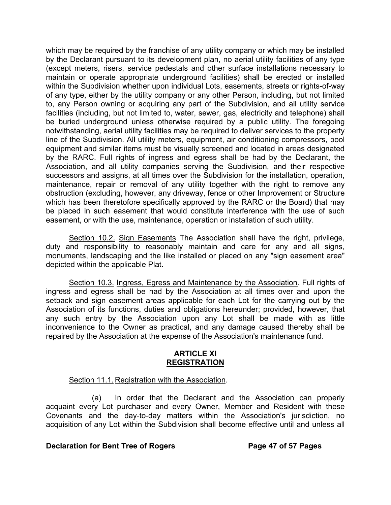which may be required by the franchise of any utility company or which may be installed by the Declarant pursuant to its development plan, no aerial utility facilities of any type (except meters, risers, service pedestals and other surface installations necessary to maintain or operate appropriate underground facilities) shall be erected or installed within the Subdivision whether upon individual Lots, easements, streets or rights-of-way of any type, either by the utility company or any other Person, including, but not limited to, any Person owning or acquiring any part of the Subdivision, and all utility service facilities (including, but not limited to, water, sewer, gas, electricity and telephone) shall be buried underground unless otherwise required by a public utility. The foregoing notwithstanding, aerial utility facilities may be required to deliver services to the property line of the Subdivision. All utility meters, equipment, air conditioning compressors, pool equipment and similar items must be visually screened and located in areas designated by the RARC. Full rights of ingress and egress shall be had by the Declarant, the Association, and all utility companies serving the Subdivision, and their respective successors and assigns, at all times over the Subdivision for the installation, operation, maintenance, repair or removal of any utility together with the right to remove any obstruction (excluding, however, any driveway, fence or other Improvement or Structure which has been theretofore specifically approved by the RARC or the Board) that may be placed in such easement that would constitute interference with the use of such easement, or with the use, maintenance, operation or installation of such utility.

Section 10.2. Sign Easements The Association shall have the right, privilege, duty and responsibility to reasonably maintain and care for any and all signs, monuments, landscaping and the like installed or placed on any "sign easement area" depicted within the applicable Plat.

Section 10.3. Ingress, Egress and Maintenance by the Association. Full rights of ingress and egress shall be had by the Association at all times over and upon the setback and sign easement areas applicable for each Lot for the carrying out by the Association of its functions, duties and obligations hereunder; provided, however, that any such entry by the Association upon any Lot shall be made with as little inconvenience to the Owner as practical, and any damage caused thereby shall be repaired by the Association at the expense of the Association's maintenance fund.

## **ARTICLE XI REGISTRATION**

## Section 11.1. Registration with the Association.

(a) In order that the Declarant and the Association can properly acquaint every Lot purchaser and every Owner, Member and Resident with these Covenants and the day-to-day matters within the Association's jurisdiction, no acquisition of any Lot within the Subdivision shall become effective until and unless all

## **Declaration for Bent Tree of Rogers Page 47 of 57 Pages**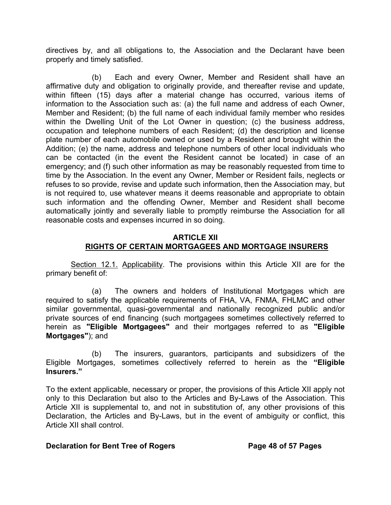directives by, and all obligations to, the Association and the Declarant have been properly and timely satisfied.

(b) Each and every Owner, Member and Resident shall have an affirmative duty and obligation to originally provide, and thereafter revise and update, within fifteen (15) days after a material change has occurred, various items of information to the Association such as: (a) the full name and address of each Owner, Member and Resident; (b) the full name of each individual family member who resides within the Dwelling Unit of the Lot Owner in question; (c) the business address, occupation and telephone numbers of each Resident; (d) the description and license plate number of each automobile owned or used by a Resident and brought within the Addition; (e) the name, address and telephone numbers of other local individuals who can be contacted (in the event the Resident cannot be located) in case of an emergency; and (f) such other information as may be reasonably requested from time to time by the Association. In the event any Owner, Member or Resident fails, neglects or refuses to so provide, revise and update such information, then the Association may, but is not required to, use whatever means it deems reasonable and appropriate to obtain such information and the offending Owner, Member and Resident shall become automatically jointly and severally liable to promptly reimburse the Association for all reasonable costs and expenses incurred in so doing.

## **ARTICLE XII RIGHTS OF CERTAIN MORTGAGEES AND MORTGAGE INSURERS**

 Section 12.1. Applicability. The provisions within this Article XII are for the primary benefit of:

(a) The owners and holders of Institutional Mortgages which are required to satisfy the applicable requirements of FHA, VA, FNMA, FHLMC and other similar governmental, quasi-governmental and nationally recognized public and/or private sources of end financing (such mortgagees sometimes collectively referred to herein as **"Eligible Mortgagees"** and their mortgages referred to as **"Eligible Mortgages"**); and

(b) The insurers, guarantors, participants and subsidizers of the Eligible Mortgages, sometimes collectively referred to herein as the **"Eligible Insurers."**

To the extent applicable, necessary or proper, the provisions of this Article XII apply not only to this Declaration but also to the Articles and By-Laws of the Association. This Article XII is supplemental to, and not in substitution of, any other provisions of this Declaration, the Articles and By-Laws, but in the event of ambiguity or conflict, this Article XII shall control.

# **Declaration for Bent Tree of Rogers The State Page 48 of 57 Pages**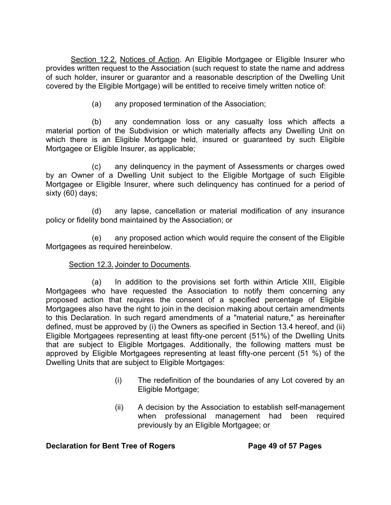Section 12.2. Notices of Action. An Eligible Mortgagee or Eligible Insurer who provides written request to the Association (such request to state the name and address of such holder, insurer or guarantor and a reasonable description of the Dwelling Unit covered by the Eligible Mortgage) will be entitled to receive timely written notice of:

(a) any proposed termination of the Association;

(b) any condemnation loss or any casualty loss which affects a material portion of the Subdivision or which materially affects any Dwelling Unit on which there is an Eligible Mortgage held, insured or guaranteed by such Eligible Mortgagee or Eligible Insurer, as applicable;

(c) any delinquency in the payment of Assessments or charges owed by an Owner of a Dwelling Unit subject to the Eligible Mortgage of such Eligible Mortgagee or Eligible Insurer, where such delinquency has continued for a period of sixty (60) days;

(d) any lapse, cancellation or material modification of any insurance policy or fidelity bond maintained by the Association; or

(e) any proposed action which would require the consent of the Eligible Mortgagees as required hereinbelow.

# Section 12.3. Joinder to Documents.

(a) In addition to the provisions set forth within Article XIII, Eligible Mortgagees who have requested the Association to notify them concerning any proposed action that requires the consent of a specified percentage of Eligible Mortgagees also have the right to join in the decision making about certain amendments to this Declaration. In such regard amendments of a "material nature," as hereinafter defined, must be approved by (i) the Owners as specified in Section 13.4 hereof, and (ii) Eligible Mortgagees representing at least fifty-one percent (51%) of the Dwelling Units that are subject to Eligible Mortgages. Additionally, the following matters must be approved by Eligible Mortgagees representing at least fifty-one percent (51 %) of the Dwelling Units that are subject to Eligible Mortgages:

- (i) The redefinition of the boundaries of any Lot covered by an Eligible Mortgage;
- (ii) A decision by the Association to establish self-management when professional management had been required previously by an Eligible Mortgagee; or

## **Declaration for Bent Tree of Rogers The State Page 49 of 57 Pages**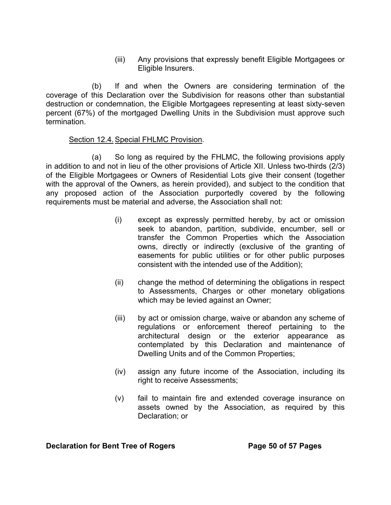(iii) Any provisions that expressly benefit Eligible Mortgagees or Eligible Insurers.

(b) If and when the Owners are considering termination of the coverage of this Declaration over the Subdivision for reasons other than substantial destruction or condemnation, the Eligible Mortgagees representing at least sixty-seven percent (67%) of the mortgaged Dwelling Units in the Subdivision must approve such termination.

## Section 12.4. Special FHLMC Provision.

(a) So long as required by the FHLMC, the following provisions apply in addition to and not in lieu of the other provisions of Article XII. Unless two-thirds (2/3) of the Eligible Mortgagees or Owners of Residential Lots give their consent (together with the approval of the Owners, as herein provided), and subject to the condition that any proposed action of the Association purportedly covered by the following requirements must be material and adverse, the Association shall not:

- (i) except as expressly permitted hereby, by act or omission seek to abandon, partition, subdivide, encumber, sell or transfer the Common Properties which the Association owns, directly or indirectly (exclusive of the granting of easements for public utilities or for other public purposes consistent with the intended use of the Addition);
- (ii) change the method of determining the obligations in respect to Assessments, Charges or other monetary obligations which may be levied against an Owner;
- (iii) by act or omission charge, waive or abandon any scheme of regulations or enforcement thereof pertaining to the architectural design or the exterior appearance as contemplated by this Declaration and maintenance of Dwelling Units and of the Common Properties;
- (iv) assign any future income of the Association, including its right to receive Assessments;
- (v) fail to maintain fire and extended coverage insurance on assets owned by the Association, as required by this Declaration; or

**Declaration for Bent Tree of Rogers Page 50 of 57 Pages**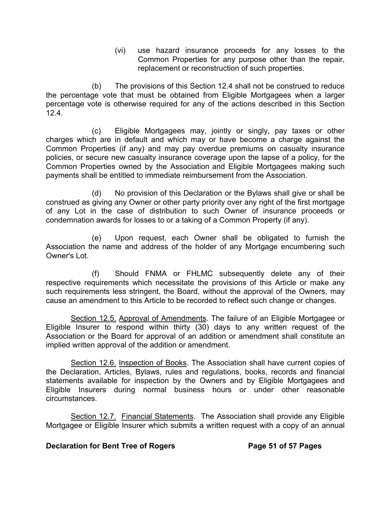(vi) use hazard insurance proceeds for any losses to the Common Properties for any purpose other than the repair, replacement or reconstruction of such properties.

(b) The provisions of this Section 12.4 shall not be construed to reduce the percentage vote that must be obtained from Eligible Mortgagees when a larger percentage vote is otherwise required for any of the actions described in this Section 12.4.

(c) Eligible Mortgagees may, jointly or singly, pay taxes or other charges which are in default and which may or have become a charge against the Common Properties (if any) and may pay overdue premiums on casualty insurance policies, or secure new casualty insurance coverage upon the lapse of a policy, for the Common Properties owned by the Association and Eligible Mortgagees making such payments shall be entitled to immediate reimbursement from the Association.

 (d) No provision of this Declaration or the Bylaws shall give or shall be construed as giving any Owner or other party priority over any right of the first mortgage of any Lot in the case of distribution to such Owner of insurance proceeds or condemnation awards for losses to or a taking of a Common Property (if any).

 (e) Upon request, each Owner shall be obligated to furnish the Association the name and address of the holder of any Mortgage encumbering such Owner's Lot.

 (f) Should FNMA or FHLMC subsequently delete any of their respective requirements which necessitate the provisions of this Article or make any such requirements less stringent, the Board, without the approval of the Owners, may cause an amendment to this Article to be recorded to reflect such change or changes.

 Section 12.5. Approval of Amendments. The failure of an Eligible Mortgagee or Eligible Insurer to respond within thirty (30) days to any written request of the Association or the Board for approval of an addition or amendment shall constitute an implied written approval of the addition or amendment.

Section 12.6. Inspection of Books. The Association shall have current copies of the Declaration, Articles, Bylaws, rules and regulations, books, records and financial statements available for inspection by the Owners and by Eligible Mortgagees and Eligible Insurers during normal business hours or under other reasonable circumstances.

 Section 12.7. Financial Statements. The Association shall provide any Eligible Mortgagee or Eligible Insurer which submits a written request with a copy of an annual

# **Declaration for Bent Tree of Rogers Page 51 of 57 Pages**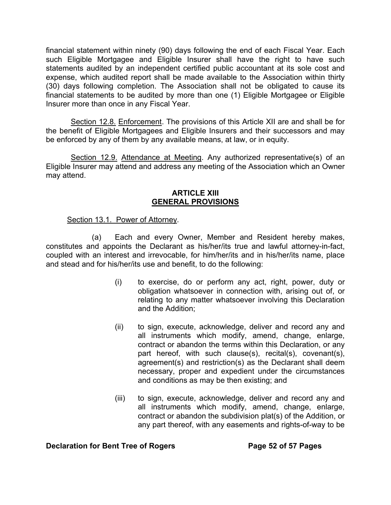financial statement within ninety (90) days following the end of each Fiscal Year. Each such Eligible Mortgagee and Eligible Insurer shall have the right to have such statements audited by an independent certified public accountant at its sole cost and expense, which audited report shall be made available to the Association within thirty (30) days following completion. The Association shall not be obligated to cause its financial statements to be audited by more than one (1) Eligible Mortgagee or Eligible Insurer more than once in any Fiscal Year.

 Section 12.8. Enforcement. The provisions of this Article XII are and shall be for the benefit of Eligible Mortgagees and Eligible Insurers and their successors and may be enforced by any of them by any available means, at law, or in equity.

Section 12.9. Attendance at Meeting. Any authorized representative(s) of an Eligible Insurer may attend and address any meeting of the Association which an Owner may attend.

#### **ARTICLE XIII GENERAL PROVISIONS**

## Section 13.1. Power of Attorney.

 (a) Each and every Owner, Member and Resident hereby makes, constitutes and appoints the Declarant as his/her/its true and lawful attorney-in-fact, coupled with an interest and irrevocable, for him/her/its and in his/her/its name, place and stead and for his/her/its use and benefit, to do the following:

- (i) to exercise, do or perform any act, right, power, duty or obligation whatsoever in connection with, arising out of, or relating to any matter whatsoever involving this Declaration and the Addition;
- (ii) to sign, execute, acknowledge, deliver and record any and all instruments which modify, amend, change, enlarge, contract or abandon the terms within this Declaration, or any part hereof, with such clause(s), recital(s), covenant(s), agreement(s) and restriction(s) as the Declarant shall deem necessary, proper and expedient under the circumstances and conditions as may be then existing; and
- (iii) to sign, execute, acknowledge, deliver and record any and all instruments which modify, amend, change, enlarge, contract or abandon the subdivision plat(s) of the Addition, or any part thereof, with any easements and rights-of-way to be

## **Declaration for Bent Tree of Rogers Page 52 of 57 Pages**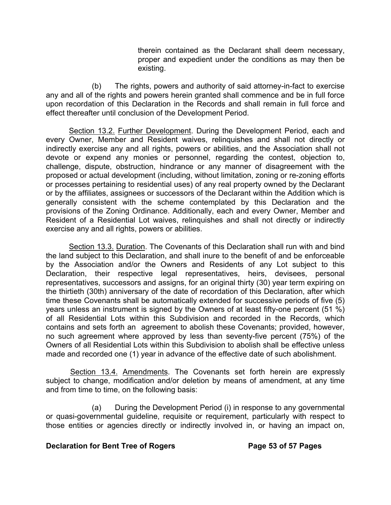therein contained as the Declarant shall deem necessary, proper and expedient under the conditions as may then be existing.

 (b) The rights, powers and authority of said attorney-in-fact to exercise any and all of the rights and powers herein granted shall commence and be in full force upon recordation of this Declaration in the Records and shall remain in full force and effect thereafter until conclusion of the Development Period.

Section 13.2. Further Development. During the Development Period, each and every Owner, Member and Resident waives, relinquishes and shall not directly or indirectly exercise any and all rights, powers or abilities, and the Association shall not devote or expend any monies or personnel, regarding the contest, objection to, challenge, dispute, obstruction, hindrance or any manner of disagreement with the proposed or actual development (including, without limitation, zoning or re-zoning efforts or processes pertaining to residential uses) of any real property owned by the Declarant or by the affiliates, assignees or successors of the Declarant within the Addition which is generally consistent with the scheme contemplated by this Declaration and the provisions of the Zoning Ordinance. Additionally, each and every Owner, Member and Resident of a Residential Lot waives, relinquishes and shall not directly or indirectly exercise any and all rights, powers or abilities.

Section 13.3. Duration. The Covenants of this Declaration shall run with and bind the land subject to this Declaration, and shall inure to the benefit of and be enforceable by the Association and/or the Owners and Residents of any Lot subject to this Declaration, their respective legal representatives, heirs, devisees, personal representatives, successors and assigns, for an original thirty (30) year term expiring on the thirtieth (30th) anniversary of the date of recordation of this Declaration, after which time these Covenants shall be automatically extended for successive periods of five (5) years unless an instrument is signed by the Owners of at least fifty-one percent (51 %) of all Residential Lots within this Subdivision and recorded in the Records, which contains and sets forth an agreement to abolish these Covenants; provided, however, no such agreement where approved by less than seventy-five percent (75%) of the Owners of all Residential Lots within this Subdivision to abolish shall be effective unless made and recorded one (1) year in advance of the effective date of such abolishment.

Section 13.4. Amendments. The Covenants set forth herein are expressly subject to change, modification and/or deletion by means of amendment, at any time and from time to time, on the following basis:

 (a) During the Development Period (i) in response to any governmental or quasi-governmental guideline, requisite or requirement, particularly with respect to those entities or agencies directly or indirectly involved in, or having an impact on,

## **Declaration for Bent Tree of Rogers The Seater Page 53 of 57 Pages**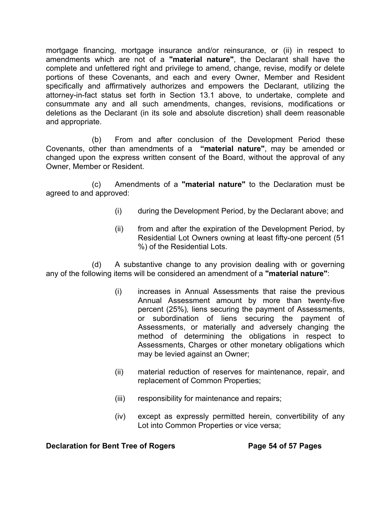mortgage financing, mortgage insurance and/or reinsurance, or (ii) in respect to amendments which are not of a **"material nature"**, the Declarant shall have the complete and unfettered right and privilege to amend, change, revise, modify or delete portions of these Covenants, and each and every Owner, Member and Resident specifically and affirmatively authorizes and empowers the Declarant, utilizing the attorney-in-fact status set forth in Section 13.1 above, to undertake, complete and consummate any and all such amendments, changes, revisions, modifications or deletions as the Declarant (in its sole and absolute discretion) shall deem reasonable and appropriate.

 (b) From and after conclusion of the Development Period these Covenants, other than amendments of a **"material nature"**, may be amended or changed upon the express written consent of the Board, without the approval of any Owner, Member or Resident.

 (c) Amendments of a **"material nature"** to the Declaration must be agreed to and approved:

- (i) during the Development Period, by the Declarant above; and
- (ii) from and after the expiration of the Development Period, by Residential Lot Owners owning at least fifty-one percent (51 %) of the Residential Lots.

 (d) A substantive change to any provision dealing with or governing any of the following items will be considered an amendment of a **"material nature"**:

- (i) increases in Annual Assessments that raise the previous Annual Assessment amount by more than twenty-five percent (25%)*,* liens securing the payment of Assessments, or subordination of liens securing the payment of Assessments, or materially and adversely changing the method of determining the obligations in respect to Assessments, Charges or other monetary obligations which may be levied against an Owner;
- (ii) material reduction of reserves for maintenance, repair, and replacement of Common Properties;
- (iii) responsibility for maintenance and repairs;
- (iv) except as expressly permitted herein, convertibility of any Lot into Common Properties or vice versa;

## **Declaration for Bent Tree of Rogers Page 54 of 57 Pages**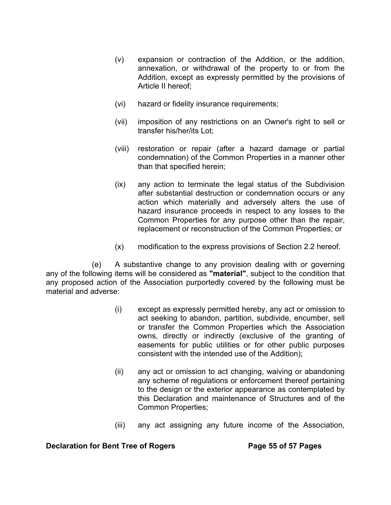- (v) expansion or contraction of the Addition, or the addition, annexation, or withdrawal of the property to or from the Addition, except as expressly permitted by the provisions of Article II hereof;
- (vi) hazard or fidelity insurance requirements;
- (vii) imposition of any restrictions on an Owner's right to sell or transfer his/her/its Lot;
- (viii) restoration or repair (after a hazard damage or partial condemnation) of the Common Properties in a manner other than that specified herein;
- (ix) any action to terminate the legal status of the Subdivision after substantial destruction or condemnation occurs or any action which materially and adversely alters the use of hazard insurance proceeds in respect to any losses to the Common Properties for any purpose other than the repair, replacement or reconstruction of the Common Properties; or
- (x) modification to the express provisions of Section 2.2 hereof.

(e) A substantive change to any provision dealing with or governing any of the following items will be considered as **"material"**, subject to the condition that any proposed action of the Association purportedly covered by the following must be material and adverse:

- (i) except as expressly permitted hereby, any act or omission to act seeking to abandon, partition, subdivide, encumber, sell or transfer the Common Properties which the Association owns, directly or indirectly (exclusive of the granting of easements for public utilities or for other public purposes consistent with the intended use of the Addition);
- (ii) any act or omission to act changing, waiving or abandoning any scheme of regulations or enforcement thereof pertaining to the design or the exterior appearance as contemplated by this Declaration and maintenance of Structures and of the Common Properties;
- (iii) any act assigning any future income of the Association,

#### **Declaration for Bent Tree of Rogers Page 55 of 57 Pages**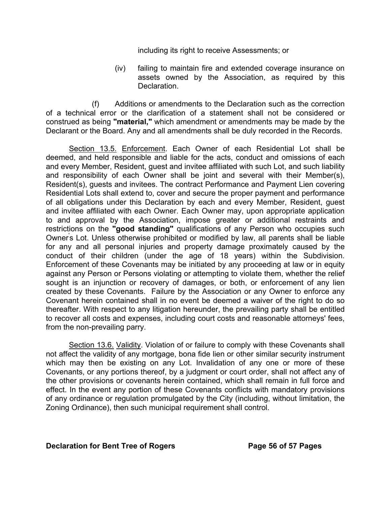including its right to receive Assessments; or

(iv) failing to maintain fire and extended coverage insurance on assets owned by the Association, as required by this Declaration.

 (f) Additions or amendments to the Declaration such as the correction of a technical error or the clarification of a statement shall not be considered or construed as being **"material,"** which amendment or amendments may be made by the Declarant or the Board. Any and all amendments shall be duly recorded in the Records.

Section 13.5. Enforcement. Each Owner of each Residential Lot shall be deemed, and held responsible and liable for the acts, conduct and omissions of each and every Member, Resident, guest and invitee affiliated with such Lot, and such liability and responsibility of each Owner shall be joint and several with their Member(s), Resident(s), guests and invitees. The contract Performance and Payment Lien covering Residential Lots shall extend to, cover and secure the proper payment and performance of all obligations under this Declaration by each and every Member, Resident, guest and invitee affiliated with each Owner. Each Owner may, upon appropriate application to and approval by the Association, impose greater or additional restraints and restrictions on the **"good standing"** qualifications of any Person who occupies such Owner' s Lot. Unless otherwise prohibited or modified by law, all parents shall be liable for any and all personal injuries and property damage proximately caused by the conduct of their children (under the age of 18 years) within the Subdivision. Enforcement of these Covenants may be initiated by any proceeding at law or in equity against any Person or Persons violating or attempting to violate them, whether the relief sought is an injunction or recovery of damages, or both, or enforcement of any lien created by these Covenants. Failure by the Association or any Owner to enforce any Covenant herein contained shall in no event be deemed a waiver of the right to do so thereafter. With respect to any litigation hereunder, the prevailing party shall be entitled to recover all costs and expenses, including court costs and reasonable attorneys' fees, from the non-prevailing parry.

Section 13.6. Validity. Violation of or failure to comply with these Covenants shall not affect the validity of any mortgage, bona fide lien or other similar security instrument which may then be existing on any Lot. Invalidation of any one or more of these Covenants, or any portions thereof, by a judgment or court order, shall not affect any of the other provisions or covenants herein contained, which shall remain in full force and effect. In the event any portion of these Covenants conflicts with mandatory provisions of any ordinance or regulation promulgated by the City (including, without limitation, the Zoning Ordinance), then such municipal requirement shall control.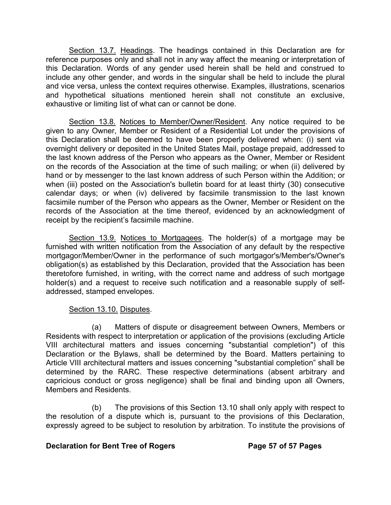Section 13.7. Headings. The headings contained in this Declaration are for reference purposes only and shall not in any way affect the meaning or interpretation of this Declaration. Words of any gender used herein shall be held and construed to include any other gender, and words in the singular shall be held to include the plural and vice versa, unless the context requires otherwise. Examples, illustrations, scenarios and hypothetical situations mentioned herein shall not constitute an exclusive, exhaustive or limiting list of what can or cannot be done.

Section 13.8. Notices to Member/Owner/Resident. Any notice required to be given to any Owner, Member or Resident of a Residential Lot under the provisions of this Declaration shall be deemed to have been properly delivered when: (i) sent via overnight delivery or deposited in the United States Mail, postage prepaid, addressed to the last known address of the Person who appears as the Owner, Member or Resident on the records of the Association at the time of such mailing; or when (ii) delivered by hand or by messenger to the last known address of such Person within the Addition; or when (iii) posted on the Association's bulletin board for at least thirty (30) consecutive calendar days; or when (iv) delivered by facsimile transmission to the last known facsimile number of the Person who appears as the Owner, Member or Resident on the records of the Association at the time thereof, evidenced by an acknowledgment of receipt by the recipient's facsimile machine.

Section 13.9. Notices to Mortgagees. The holder(s) of a mortgage may be furnished with written notification from the Association of any default by the respective mortgagor/Member/Owner in the performance of such mortgagor's/Member's/Owner's obligation(s) as established by this Declaration, provided that the Association has been theretofore furnished, in writing, with the correct name and address of such mortgage holder(s) and a request to receive such notification and a reasonable supply of selfaddressed, stamped envelopes.

# Section 13.10. Disputes.

(a) Matters of dispute or disagreement between Owners, Members or Residents with respect to interpretation or application of the provisions (excluding Article VIII architectural matters and issues concerning "substantial completion") of this Declaration or the Bylaws, shall be determined by the Board. Matters pertaining to Article VIII architectural matters and issues concerning "substantial completion" shall be determined by the RARC. These respective determinations (absent arbitrary and capricious conduct or gross negligence) shall be final and binding upon all Owners, Members and Residents.

(b) The provisions of this Section 13.10 shall only apply with respect to the resolution of a dispute which is, pursuant to the provisions of this Declaration, expressly agreed to be subject to resolution by arbitration. To institute the provisions of

# **Declaration for Bent Tree of Rogers Page 57 of 57 Pages**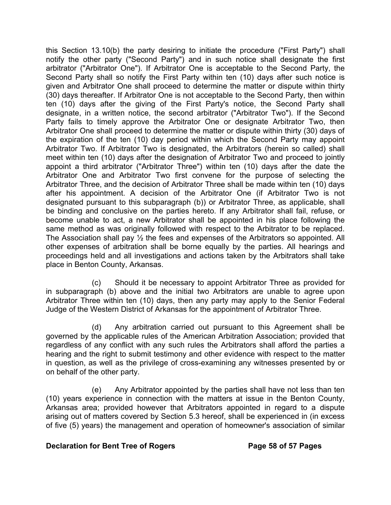this Section 13.10(b) the party desiring to initiate the procedure ("First Party") shall notify the other party ("Second Party") and in such notice shall designate the first arbitrator ("Arbitrator One"). If Arbitrator One is acceptable to the Second Party, the Second Party shall so notify the First Party within ten (10) days after such notice is given and Arbitrator One shall proceed to determine the matter or dispute within thirty (30) days thereafter. If Arbitrator One is not acceptable to the Second Party, then within ten (10) days after the giving of the First Party's notice, the Second Party shall designate, in a written notice, the second arbitrator ("Arbitrator Two"). If the Second Party fails to timely approve the Arbitrator One or designate Arbitrator Two, then Arbitrator One shall proceed to determine the matter or dispute within thirty (30) days of the expiration of the ten (10) day period within which the Second Party may appoint Arbitrator Two. If Arbitrator Two is designated, the Arbitrators (herein so called) shall meet within ten (10) days after the designation of Arbitrator Two and proceed to jointly appoint a third arbitrator ("Arbitrator Three") within ten (10) days after the date the Arbitrator One and Arbitrator Two first convene for the purpose of selecting the Arbitrator Three, and the decision of Arbitrator Three shall be made within ten (10) days after his appointment. A decision of the Arbitrator One (if Arbitrator Two is not designated pursuant to this subparagraph (b)) or Arbitrator Three, as applicable, shall be binding and conclusive on the parties hereto. If any Arbitrator shall fail, refuse, or become unable to act, a new Arbitrator shall be appointed in his place following the same method as was originally followed with respect to the Arbitrator to be replaced. The Association shall pay ½ the fees and expenses of the Arbitrators so appointed. All other expenses of arbitration shall be borne equally by the parties. All hearings and proceedings held and all investigations and actions taken by the Arbitrators shall take place in Benton County, Arkansas.

(c) Should it be necessary to appoint Arbitrator Three as provided for in subparagraph (b) above and the initial two Arbitrators are unable to agree upon Arbitrator Three within ten (10) days, then any party may apply to the Senior Federal Judge of the Western District of Arkansas for the appointment of Arbitrator Three.

(d) Any arbitration carried out pursuant to this Agreement shall be governed by the applicable rules of the American Arbitration Association; provided that regardless of any conflict with any such rules the Arbitrators shall afford the parties a hearing and the right to submit testimony and other evidence with respect to the matter in question, as well as the privilege of cross-examining any witnesses presented by or on behalf of the other party.

(e) Any Arbitrator appointed by the parties shall have not less than ten (10) years experience in connection with the matters at issue in the Benton County, Arkansas area; provided however that Arbitrators appointed in regard to a dispute arising out of matters covered by Section 5.3 hereof, shall be experienced in (in excess of five (5) years) the management and operation of homeowner's association of similar

## **Declaration for Bent Tree of Rogers The Seater Page 58 of 57 Pages**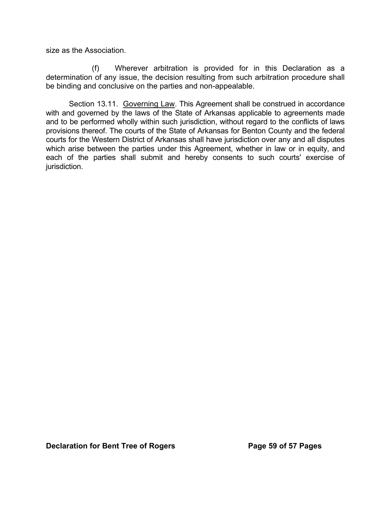size as the Association.

(f) Wherever arbitration is provided for in this Declaration as a determination of any issue, the decision resulting from such arbitration procedure shall be binding and conclusive on the parties and non-appealable.

Section 13.11. Governing Law. This Agreement shall be construed in accordance with and governed by the laws of the State of Arkansas applicable to agreements made and to be performed wholly within such jurisdiction, without regard to the conflicts of laws provisions thereof. The courts of the State of Arkansas for Benton County and the federal courts for the Western District of Arkansas shall have jurisdiction over any and all disputes which arise between the parties under this Agreement, whether in law or in equity, and each of the parties shall submit and hereby consents to such courts' exercise of jurisdiction.